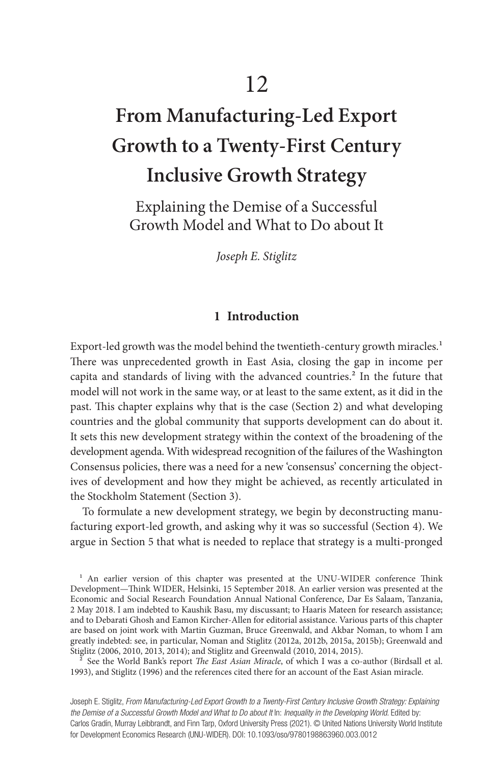# **From Manufacturing-Led Export Growth to a Twenty-First Century Inclusive Growth Strategy**

Explaining the Demise of a Successful Growth Model and What to Do about It

*Joseph E. Stiglitz*

# **1 Introduction**

Export-led growth was the model behind the twentieth-century growth miracles.<sup>1</sup> There was unprecedented growth in East Asia, closing the gap in income per capita and standards of living with the advanced countries.<sup>2</sup> In the future that model will not work in the same way, or at least to the same extent, as it did in the past. This chapter explains why that is the case (Section 2) and what developing countries and the global community that supports development can do about it. It sets this new development strategy within the context of the broadening of the development agenda. With widespread recognition of the failures of the Washington Consensus policies, there was a need for a new 'consensus' concerning the objectives of development and how they might be achieved, as recently articulated in the Stockholm Statement (Section 3).

To formulate a new development strategy, we begin by deconstructing manufacturing export-led growth, and asking why it was so successful (Section 4). We argue in Section 5 that what is needed to replace that strategy is a multi-pronged

<sup>1</sup> An earlier version of this chapter was presented at the UNU-WIDER conference Think Development—Think WIDER, Helsinki, 15 September 2018. An earlier version was presented at the Economic and Social Research Foundation Annual National Conference, Dar Es Salaam, Tanzania, 2 May 2018. I am indebted to Kaushik Basu, my discussant; to Haaris Mateen for research assistance; and to Debarati Ghosh and Eamon Kircher-Allen for editorial assistance. Various parts of this chapter are based on joint work with Martin Guzman, Bruce Greenwald, and Akbar Noman, to whom I am greatly indebted: see, in particular, Noman and Stiglitz (2012a, 2012b, 2015a, 2015b); Greenwald and Stiglitz (2006, 2010, 2013, 2014); and Stiglitz and Greenwald (2010, 2014, 2015).

2 See the World Bank's report *The East Asian Miracle*, of which I was a co-author (Birdsall et al. 1993), and Stiglitz (1996) and the references cited there for an account of the East Asian miracle.

Joseph E. Stiglitz, *From Manufacturing-Led Export Growth to a Twenty-First Century Inclusive Growth Strategy: Explaining*  the Demise of a Successful Growth Model and What to Do about It *In: Inequality in the Developing World*. Edited by: Carlos Gradín, Murray Leibbrandt, and Finn Tarp, Oxford University Press (2021). © United Nations University World Institute for Development Economics Research (UNU-WIDER). DOI: 10.1093/oso/9780198863960.003.0012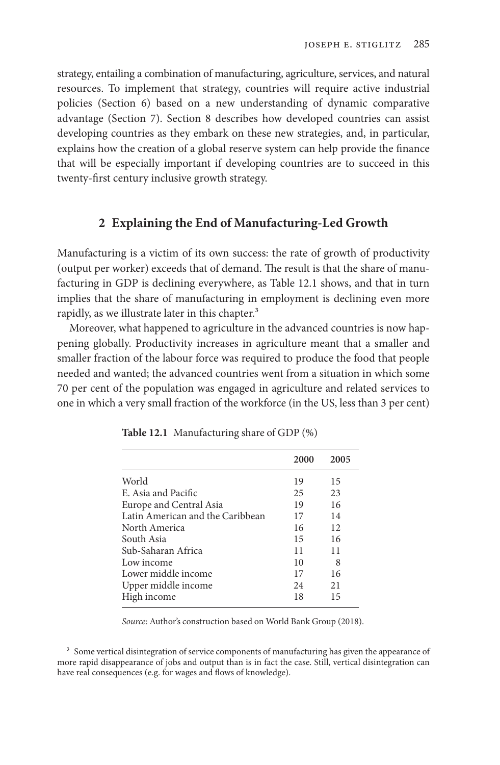strategy, entailing a combination of manufacturing, agriculture, services, and natural resources. To implement that strategy, countries will require active industrial policies (Section 6) based on a new understanding of dynamic comparative advantage (Section 7). Section 8 describes how developed countries can assist developing countries as they embark on these new strategies, and, in particular, explains how the creation of a global reserve system can help provide the finance that will be especially important if developing countries are to succeed in this twenty-first century inclusive growth strategy.

# **2 Explaining the End of Manufacturing-Led Growth**

Manufacturing is a victim of its own success: the rate of growth of productivity (output per worker) exceeds that of demand. The result is that the share of manufacturing in GDP is declining everywhere, as Table 12.1 shows, and that in turn implies that the share of manufacturing in employment is declining even more rapidly, as we illustrate later in this chapter.<sup>3</sup>

Moreover, what happened to agriculture in the advanced countries is now happening globally. Productivity increases in agriculture meant that a smaller and smaller fraction of the labour force was required to produce the food that people needed and wanted; the advanced countries went from a situation in which some 70 per cent of the population was engaged in agriculture and related services to one in which a very small fraction of the workforce (in the US, less than 3 per cent)

|                                  | 2000 | 2005 |  |
|----------------------------------|------|------|--|
| World                            | 19   | 15   |  |
| E. Asia and Pacific              | 25   | 23   |  |
| Europe and Central Asia          | 19   | 16   |  |
| Latin American and the Caribbean | 17   | 14   |  |
| North America                    | 16   | 12   |  |
| South Asia                       | 15   | 16   |  |
| Sub-Saharan Africa               | 11   | 11   |  |
| Low income                       | 10   | 8    |  |
| Lower middle income              | 17   | 16   |  |
| Upper middle income              | 24   | 21   |  |
| High income                      | 18   | 15   |  |
|                                  |      |      |  |

**Table 12.1** Manufacturing share of GDP (%)

*Source*: Author's construction based on World Bank Group (2018).

<sup>3</sup> Some vertical disintegration of service components of manufacturing has given the appearance of more rapid disappearance of jobs and output than is in fact the case. Still, vertical disintegration can have real consequences (e.g. for wages and flows of knowledge).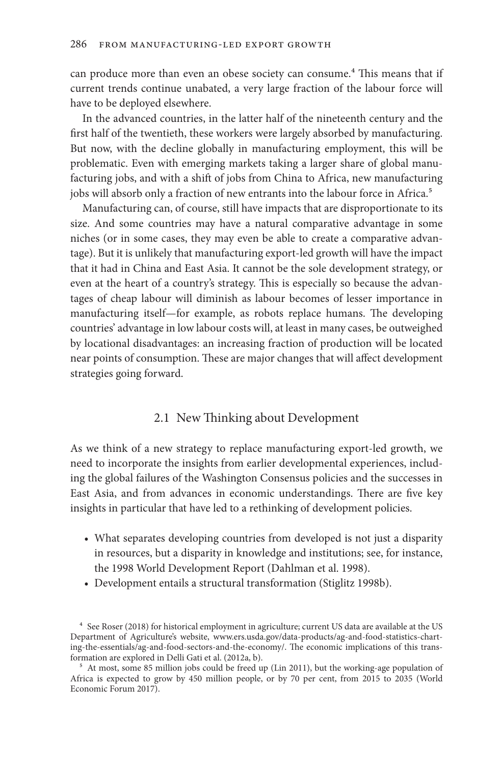can produce more than even an obese society can consume.<sup>4</sup> This means that if current trends continue unabated, a very large fraction of the labour force will have to be deployed elsewhere.

In the advanced countries, in the latter half of the nineteenth century and the first half of the twentieth, these workers were largely absorbed by manufacturing. But now, with the decline globally in manufacturing employment, this will be problematic. Even with emerging markets taking a larger share of global manufacturing jobs, and with a shift of jobs from China to Africa, new manufacturing jobs will absorb only a fraction of new entrants into the labour force in Africa.<sup>5</sup>

Manufacturing can, of course, still have impacts that are disproportionate to its size. And some countries may have a natural comparative advantage in some niches (or in some cases, they may even be able to create a comparative advantage). But it is unlikely that manufacturing export-led growth will have the impact that it had in China and East Asia. It cannot be the sole development strategy, or even at the heart of a country's strategy. This is especially so because the advantages of cheap labour will diminish as labour becomes of lesser importance in manufacturing itself—for example, as robots replace humans. The developing countries' advantage in low labour costs will, at least in many cases, be outweighed by locational disadvantages: an increasing fraction of production will be located near points of consumption. These are major changes that will affect development strategies going forward.

#### 2.1 New Thinking about Development

As we think of a new strategy to replace manufacturing export-led growth, we need to incorporate the insights from earlier developmental experiences, including the global failures of the Washington Consensus policies and the successes in East Asia, and from advances in economic understandings. There are five key insights in particular that have led to a rethinking of development policies.

- What separates developing countries from developed is not just a disparity in resources, but a disparity in knowledge and institutions; see, for instance, the 1998 World Development Report (Dahlman et al. 1998).
- Development entails a structural transformation (Stiglitz 1998b).

<sup>4</sup> See Roser (2018) for historical employment in agriculture; current US data are available at the US Department of Agriculture's website, www.ers.usda.gov/data-products/ag-and-food-statistics-charting-the-essentials/ag-and-food-sectors-and-the-economy/. The economic implications of this transformation are explored in Delli Gati et al. (2012a, b).

<sup>&</sup>lt;sup>5</sup> At most, some 85 million jobs could be freed up (Lin 2011), but the working-age population of Africa is expected to grow by 450 million people, or by 70 per cent, from 2015 to 2035 (World Economic Forum 2017).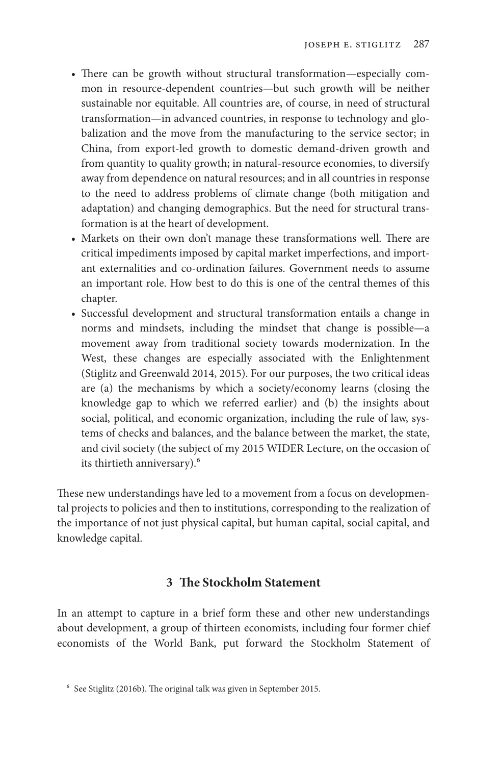- There can be growth without structural transformation—especially common in resource-dependent countries—but such growth will be neither sustainable nor equitable. All countries are, of course, in need of structural transformation—in advanced countries, in response to technology and globalization and the move from the manufacturing to the service sector; in China, from export-led growth to domestic demand-driven growth and from quantity to quality growth; in natural-resource economies, to diversify away from dependence on natural resources; and in all countries in response to the need to address problems of climate change (both mitigation and adaptation) and changing demographics. But the need for structural transformation is at the heart of development.
- Markets on their own don't manage these transformations well. There are critical impediments imposed by capital market imperfections, and important externalities and co-ordination failures. Government needs to assume an important role. How best to do this is one of the central themes of this chapter.
- Successful development and structural transformation entails a change in norms and mindsets, including the mindset that change is possible—a movement away from traditional society towards modernization. In the West, these changes are especially associated with the Enlightenment (Stiglitz and Greenwald 2014, 2015). For our purposes, the two critical ideas are (a) the mechanisms by which a society/economy learns (closing the knowledge gap to which we referred earlier) and (b) the insights about social, political, and economic organization, including the rule of law, systems of checks and balances, and the balance between the market, the state, and civil society (the subject of my 2015 WIDER Lecture, on the occasion of its thirtieth anniversary).6

These new understandings have led to a movement from a focus on developmental projects to policies and then to institutions, corresponding to the realization of the importance of not just physical capital, but human capital, social capital, and knowledge capital.

# **3 The Stockholm Statement**

In an attempt to capture in a brief form these and other new understandings about development, a group of thirteen economists, including four former chief economists of the World Bank, put forward the Stockholm Statement of

<sup>6</sup> See Stiglitz (2016b). The original talk was given in September 2015.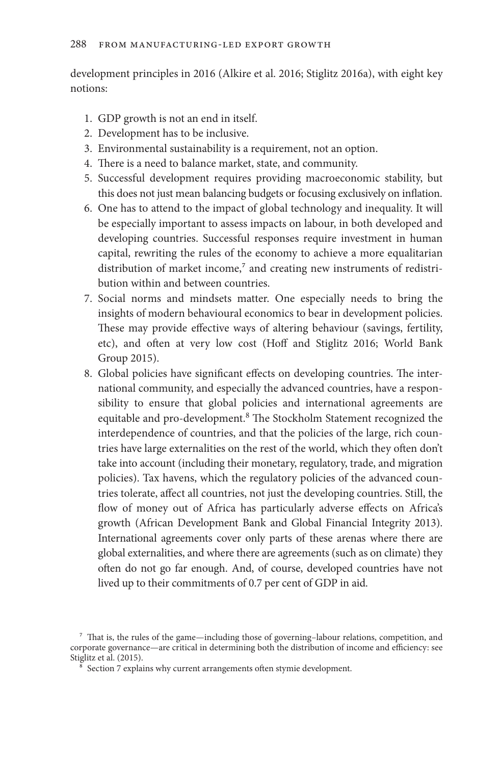development principles in 2016 (Alkire et al. 2016; Stiglitz 2016a), with eight key notions:

- 1. GDP growth is not an end in itself.
- 2. Development has to be inclusive.
- 3. Environmental sustainability is a requirement, not an option.
- 4. There is a need to balance market, state, and community.
- 5. Successful development requires providing macroeconomic stability, but this does not just mean balancing budgets or focusing exclusively on inflation.
- 6. One has to attend to the impact of global technology and inequality. It will be especially important to assess impacts on labour, in both developed and developing countries. Successful responses require investment in human capital, rewriting the rules of the economy to achieve a more equalitarian distribution of market income,<sup>7</sup> and creating new instruments of redistribution within and between countries.
- 7. Social norms and mindsets matter. One especially needs to bring the insights of modern behavioural economics to bear in development policies. These may provide effective ways of altering behaviour (savings, fertility, etc), and often at very low cost (Hoff and Stiglitz 2016; World Bank Group 2015).
- 8. Global policies have significant effects on developing countries. The international community, and especially the advanced countries, have a responsibility to ensure that global policies and international agreements are equitable and pro-development.<sup>8</sup> The Stockholm Statement recognized the interdependence of countries, and that the policies of the large, rich countries have large externalities on the rest of the world, which they often don't take into account (including their monetary, regulatory, trade, and migration policies). Tax havens, which the regulatory policies of the advanced countries tolerate, affect all countries, not just the developing countries. Still, the flow of money out of Africa has particularly adverse effects on Africa's growth (African Development Bank and Global Financial Integrity 2013). International agreements cover only parts of these arenas where there are global externalities, and where there are agreements (such as on climate) they often do not go far enough. And, of course, developed countries have not lived up to their commitments of 0.7 per cent of GDP in aid.

<sup>7</sup> That is, the rules of the game—including those of governing–labour relations, competition, and corporate governance—are critical in determining both the distribution of income and efficiency: see Stiglitz et al. (2015).

Section 7 explains why current arrangements often stymie development.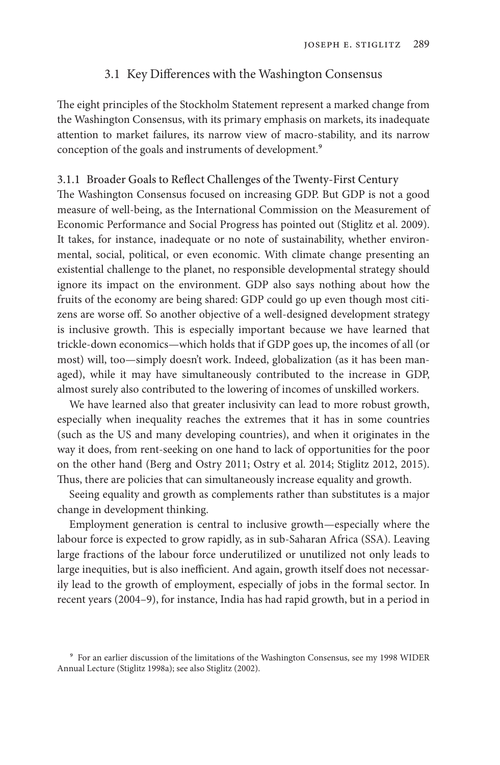## 3.1 Key Differences with the Washington Consensus

The eight principles of the Stockholm Statement represent a marked change from the Washington Consensus, with its primary emphasis on markets, its inadequate attention to market failures, its narrow view of macro-stability, and its narrow conception of the goals and instruments of development.<sup>9</sup>

#### 3.1.1 Broader Goals to Reflect Challenges of the Twenty-First Century

The Washington Consensus focused on increasing GDP. But GDP is not a good measure of well-being, as the International Commission on the Measurement of Economic Performance and Social Progress has pointed out (Stiglitz et al. 2009). It takes, for instance, inadequate or no note of sustainability, whether environmental, social, political, or even economic. With climate change presenting an existential challenge to the planet, no responsible developmental strategy should ignore its impact on the environment. GDP also says nothing about how the fruits of the economy are being shared: GDP could go up even though most citizens are worse off. So another objective of a well-designed development strategy is inclusive growth. This is especially important because we have learned that trickle-down economics—which holds that if GDP goes up, the incomes of all (or most) will, too—simply doesn't work. Indeed, globalization (as it has been managed), while it may have simultaneously contributed to the increase in GDP, almost surely also contributed to the lowering of incomes of unskilled workers.

We have learned also that greater inclusivity can lead to more robust growth, especially when inequality reaches the extremes that it has in some countries (such as the US and many developing countries), and when it originates in the way it does, from rent-seeking on one hand to lack of opportunities for the poor on the other hand (Berg and Ostry 2011; Ostry et al. 2014; Stiglitz 2012, 2015). Thus, there are policies that can simultaneously increase equality and growth.

Seeing equality and growth as complements rather than substitutes is a major change in development thinking.

Employment generation is central to inclusive growth—especially where the labour force is expected to grow rapidly, as in sub-Saharan Africa (SSA). Leaving large fractions of the labour force underutilized or unutilized not only leads to large inequities, but is also inefficient. And again, growth itself does not necessarily lead to the growth of employment, especially of jobs in the formal sector. In recent years (2004–9), for instance, India has had rapid growth, but in a period in

<sup>9</sup> For an earlier discussion of the limitations of the Washington Consensus, see my 1998 WIDER Annual Lecture (Stiglitz 1998a); see also Stiglitz (2002).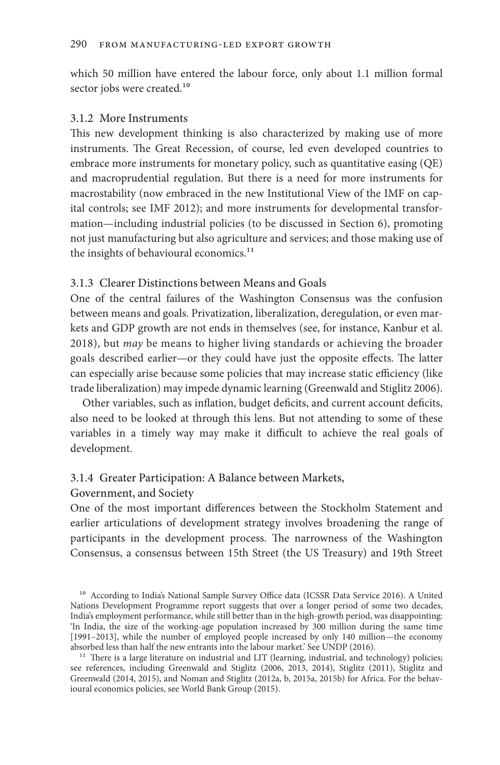which 50 million have entered the labour force, only about 1.1 million formal sector jobs were created.<sup>10</sup>

#### 3.1.2 More Instruments

This new development thinking is also characterized by making use of more instruments. The Great Recession, of course, led even developed countries to embrace more instruments for monetary policy, such as quantitative easing (QE) and macroprudential regulation. But there is a need for more instruments for macrostability (now embraced in the new Institutional View of the IMF on capital controls; see IMF 2012); and more instruments for developmental transformation—including industrial policies (to be discussed in Section 6), promoting not just manufacturing but also agriculture and services; and those making use of the insights of behavioural economics.<sup>11</sup>

#### 3.1.3 Clearer Distinctions between Means and Goals

One of the central failures of the Washington Consensus was the confusion between means and goals. Privatization, liberalization, deregulation, or even markets and GDP growth are not ends in themselves (see, for instance, Kanbur et al. 2018), but *may* be means to higher living standards or achieving the broader goals described earlier—or they could have just the opposite effects. The latter can especially arise because some policies that may increase static efficiency (like trade liberalization) may impede dynamic learning (Greenwald and Stiglitz 2006).

Other variables, such as inflation, budget deficits, and current account deficits, also need to be looked at through this lens. But not attending to some of these variables in a timely way may make it difficult to achieve the real goals of development.

## 3.1.4 Greater Participation: A Balance between Markets,

#### Government, and Society

One of the most important differences between the Stockholm Statement and earlier articulations of development strategy involves broadening the range of participants in the development process. The narrowness of the Washington Consensus, a consensus between 15th Street (the US Treasury) and 19th Street

<sup>&</sup>lt;sup>10</sup> According to India's National Sample Survey Office data (ICSSR Data Service 2016). A United Nations Development Programme report suggests that over a longer period of some two decades, India's employment performance, while still better than in the high-growth period, was disappointing: 'In India, the size of the working-age population increased by 300 million during the same time [1991–2013], while the number of employed people increased by only 140 million—the economy absorbed less than half the new entrants into the labour market.' See UNDP (2016).

<sup>&</sup>lt;sup>11</sup> There is a large literature on industrial and LIT (learning, industrial, and technology) policies; see references, including Greenwald and Stiglitz (2006, 2013, 2014), Stiglitz (2011), Stiglitz and Greenwald (2014, 2015), and Noman and Stiglitz (2012a, b, 2015a, 2015b) for Africa. For the behavioural economics policies, see World Bank Group (2015).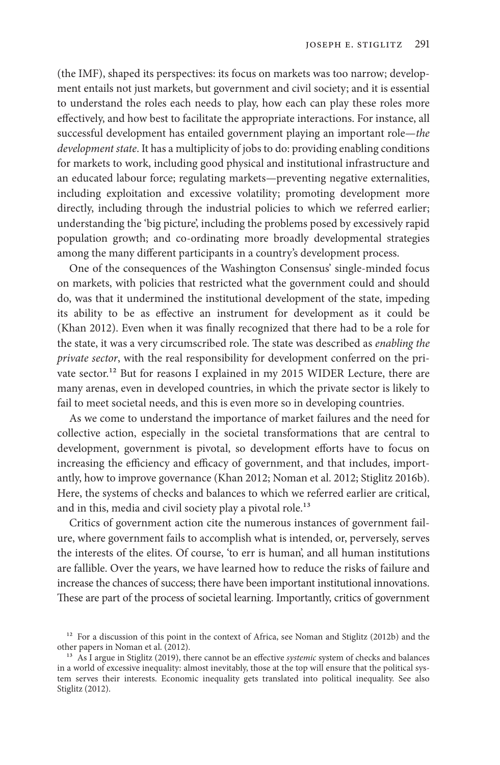(the IMF), shaped its perspectives: its focus on markets was too narrow; development entails not just markets, but government and civil society; and it is essential to understand the roles each needs to play, how each can play these roles more effectively, and how best to facilitate the appropriate interactions. For instance, all successful development has entailed government playing an important role—*the development state*. It has a multiplicity of jobs to do: providing enabling conditions for markets to work, including good physical and institutional infrastructure and an educated labour force; regulating markets—preventing negative externalities, including exploitation and excessive volatility; promoting development more directly, including through the industrial policies to which we referred earlier; understanding the 'big picture', including the problems posed by excessively rapid population growth; and co-ordinating more broadly developmental strategies among the many different participants in a country's development process.

One of the consequences of the Washington Consensus' single-minded focus on markets, with policies that restricted what the government could and should do, was that it undermined the institutional development of the state, impeding its ability to be as effective an instrument for development as it could be (Khan 2012). Even when it was finally recognized that there had to be a role for the state, it was a very circumscribed role. The state was described as *enabling the private sector*, with the real responsibility for development conferred on the private sector.<sup>12</sup> But for reasons I explained in my 2015 WIDER Lecture, there are many arenas, even in developed countries, in which the private sector is likely to fail to meet societal needs, and this is even more so in developing countries.

As we come to understand the importance of market failures and the need for collective action, especially in the societal transformations that are central to development, government is pivotal, so development efforts have to focus on increasing the efficiency and efficacy of government, and that includes, importantly, how to improve governance (Khan 2012; Noman et al. 2012; Stiglitz 2016b). Here, the systems of checks and balances to which we referred earlier are critical, and in this, media and civil society play a pivotal role.<sup>13</sup>

Critics of government action cite the numerous instances of government failure, where government fails to accomplish what is intended, or, perversely, serves the interests of the elites. Of course, 'to err is human', and all human institutions are fallible. Over the years, we have learned how to reduce the risks of failure and increase the chances of success; there have been important institutional innovations. These are part of the process of societal learning. Importantly, critics of government

<sup>&</sup>lt;sup>12</sup> For a discussion of this point in the context of Africa, see Noman and Stiglitz (2012b) and the other papers in Noman et al. (2012).

<sup>&</sup>lt;sup>13</sup> As I argue in Stiglitz (2019), there cannot be an effective *systemic* system of checks and balances in a world of excessive inequality: almost inevitably, those at the top will ensure that the political system serves their interests. Economic inequality gets translated into political inequality. See also Stiglitz (2012).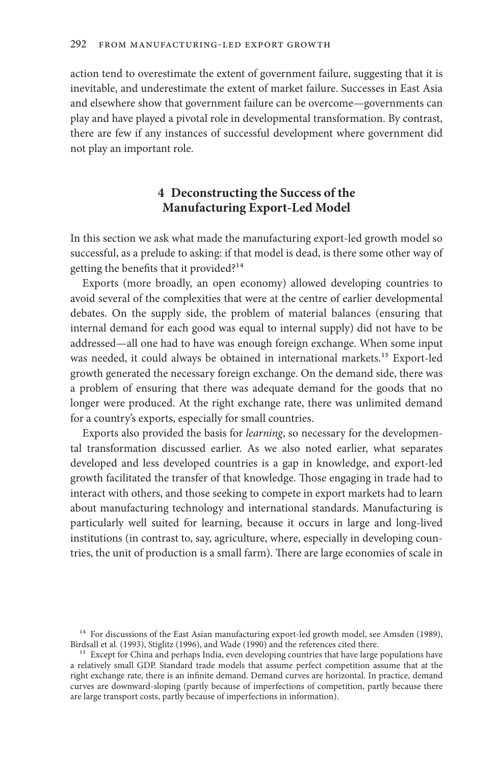action tend to overestimate the extent of government failure, suggesting that it is inevitable, and underestimate the extent of market failure. Successes in East Asia and elsewhere show that government failure can be overcome—governments can play and have played a pivotal role in developmental transformation. By contrast, there are few if any instances of successful development where government did not play an important role.

# **4 Deconstructing the Success of the Manufacturing Export-Led Model**

In this section we ask what made the manufacturing export-led growth model so successful, as a prelude to asking: if that model is dead, is there some other way of getting the benefits that it provided?14

Exports (more broadly, an open economy) allowed developing countries to avoid several of the complexities that were at the centre of earlier developmental debates. On the supply side, the problem of material balances (ensuring that internal demand for each good was equal to internal supply) did not have to be addressed—all one had to have was enough foreign exchange. When some input was needed, it could always be obtained in international markets.<sup>15</sup> Export-led growth generated the necessary foreign exchange. On the demand side, there was a problem of ensuring that there was adequate demand for the goods that no longer were produced. At the right exchange rate, there was unlimited demand for a country's exports, especially for small countries.

Exports also provided the basis for *learning*, so necessary for the developmental transformation discussed earlier. As we also noted earlier, what separates developed and less developed countries is a gap in knowledge, and export-led growth facilitated the transfer of that knowledge. Those engaging in trade had to interact with others, and those seeking to compete in export markets had to learn about manufacturing technology and international standards. Manufacturing is particularly well suited for learning, because it occurs in large and long-lived institutions (in contrast to, say, agriculture, where, especially in developing countries, the unit of production is a small farm). There are large economies of scale in

<sup>&</sup>lt;sup>14</sup> For discussions of the East Asian manufacturing export-led growth model, see Amsden (1989), Birdsall et al. (1993), Stiglitz (1996), and Wade (1990) and the references cited there.

<sup>&</sup>lt;sup>15</sup> Except for China and perhaps India, even developing countries that have large populations have a relatively small GDP. Standard trade models that assume perfect competition assume that at the right exchange rate, there is an infinite demand. Demand curves are horizontal. In practice, demand curves are downward-sloping (partly because of imperfections of competition, partly because there are large transport costs, partly because of imperfections in information).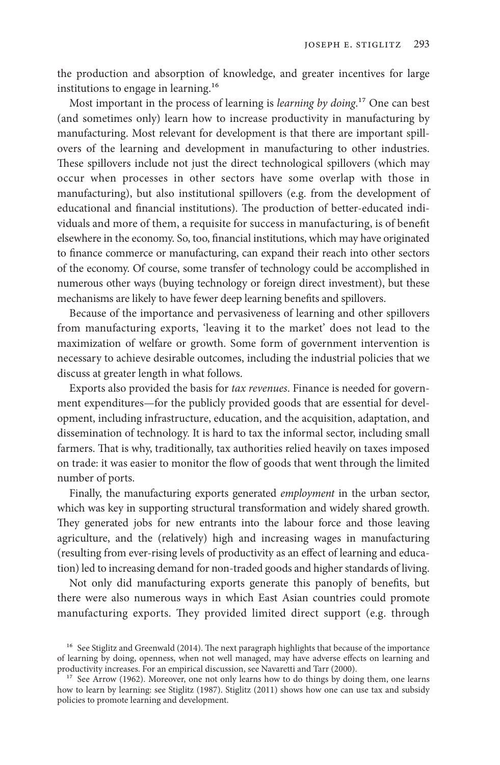the production and absorption of knowledge, and greater incentives for large institutions to engage in learning.16

Most important in the process of learning is *learning by doing*.17 One can best (and sometimes only) learn how to increase productivity in manufacturing by manufacturing. Most relevant for development is that there are important spillovers of the learning and development in manufacturing to other industries. These spillovers include not just the direct technological spillovers (which may occur when processes in other sectors have some overlap with those in manufacturing), but also institutional spillovers (e.g. from the development of educational and financial institutions). The production of better-educated individuals and more of them, a requisite for success in manufacturing, is of benefit elsewhere in the economy. So, too, financial institutions, which may have originated to finance commerce or manufacturing, can expand their reach into other sectors of the economy. Of course, some transfer of technology could be accomplished in numerous other ways (buying technology or foreign direct investment), but these mechanisms are likely to have fewer deep learning benefits and spillovers.

Because of the importance and pervasiveness of learning and other spillovers from manufacturing exports, 'leaving it to the market' does not lead to the maximization of welfare or growth. Some form of government intervention is necessary to achieve desirable outcomes, including the industrial policies that we discuss at greater length in what follows.

Exports also provided the basis for *tax revenues*. Finance is needed for government expenditures—for the publicly provided goods that are essential for development, including infrastructure, education, and the acquisition, adaptation, and dissemination of technology. It is hard to tax the informal sector, including small farmers. That is why, traditionally, tax authorities relied heavily on taxes imposed on trade: it was easier to monitor the flow of goods that went through the limited number of ports.

Finally, the manufacturing exports generated *employment* in the urban sector, which was key in supporting structural transformation and widely shared growth. They generated jobs for new entrants into the labour force and those leaving agriculture, and the (relatively) high and increasing wages in manufacturing (resulting from ever-rising levels of productivity as an effect of learning and education) led to increasing demand for non-traded goods and higher standards of living.

Not only did manufacturing exports generate this panoply of benefits, but there were also numerous ways in which East Asian countries could promote manufacturing exports. They provided limited direct support (e.g. through

<sup>&</sup>lt;sup>16</sup> See Stiglitz and Greenwald (2014). The next paragraph highlights that because of the importance of learning by doing, openness, when not well managed, may have adverse effects on learning and productivity increases. For an empirical discussion, see Navaretti and Tarr (2000).

<sup>&</sup>lt;sup>17</sup> See Arrow (1962). Moreover, one not only learns how to do things by doing them, one learns how to learn by learning: see Stiglitz (1987). Stiglitz (2011) shows how one can use tax and subsidy policies to promote learning and development.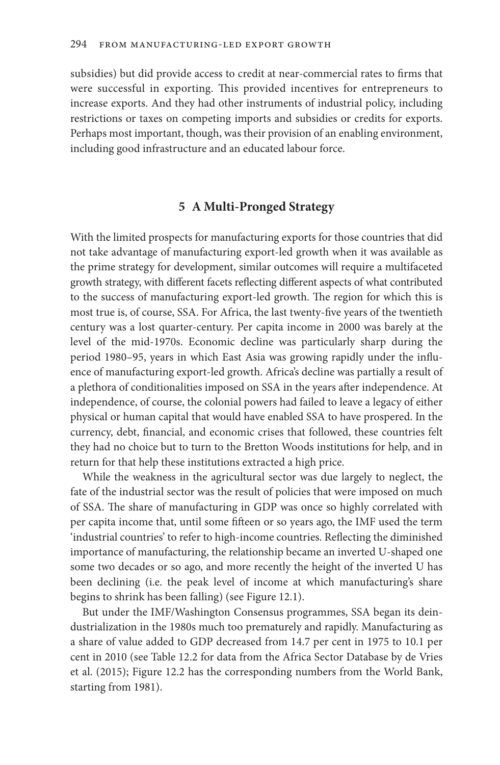subsidies) but did provide access to credit at near-commercial rates to firms that were successful in exporting. This provided incentives for entrepreneurs to increase exports. And they had other instruments of industrial policy, including restrictions or taxes on competing imports and subsidies or credits for exports. Perhaps most important, though, was their provision of an enabling environment, including good infrastructure and an educated labour force.

## **5 A Multi-Pronged Strategy**

With the limited prospects for manufacturing exports for those countries that did not take advantage of manufacturing export-led growth when it was available as the prime strategy for development, similar outcomes will require a multifaceted growth strategy, with different facets reflecting different aspects of what contributed to the success of manufacturing export-led growth. The region for which this is most true is, of course, SSA. For Africa, the last twenty-five years of the twentieth century was a lost quarter-century. Per capita income in 2000 was barely at the level of the mid-1970s. Economic decline was particularly sharp during the period 1980–95, years in which East Asia was growing rapidly under the influence of manufacturing export-led growth. Africa's decline was partially a result of a plethora of conditionalities imposed on SSA in the years after independence. At independence, of course, the colonial powers had failed to leave a legacy of either physical or human capital that would have enabled SSA to have prospered. In the currency, debt, financial, and economic crises that followed, these countries felt they had no choice but to turn to the Bretton Woods institutions for help, and in return for that help these institutions extracted a high price.

While the weakness in the agricultural sector was due largely to neglect, the fate of the industrial sector was the result of policies that were imposed on much of SSA. The share of manufacturing in GDP was once so highly correlated with per capita income that, until some fifteen or so years ago, the IMF used the term 'industrial countries' to refer to high-income countries. Reflecting the diminished importance of manufacturing, the relationship became an inverted U-shaped one some two decades or so ago, and more recently the height of the inverted U has been declining (i.e. the peak level of income at which manufacturing's share begins to shrink has been falling) (see Figure 12.1).

But under the IMF/Washington Consensus programmes, SSA began its deindustrialization in the 1980s much too prematurely and rapidly. Manufacturing as a share of value added to GDP decreased from 14.7 per cent in 1975 to 10.1 per cent in 2010 (see Table 12.2 for data from the Africa Sector Database by de Vries et al. (2015); Figure 12.2 has the corresponding numbers from the World Bank, starting from 1981).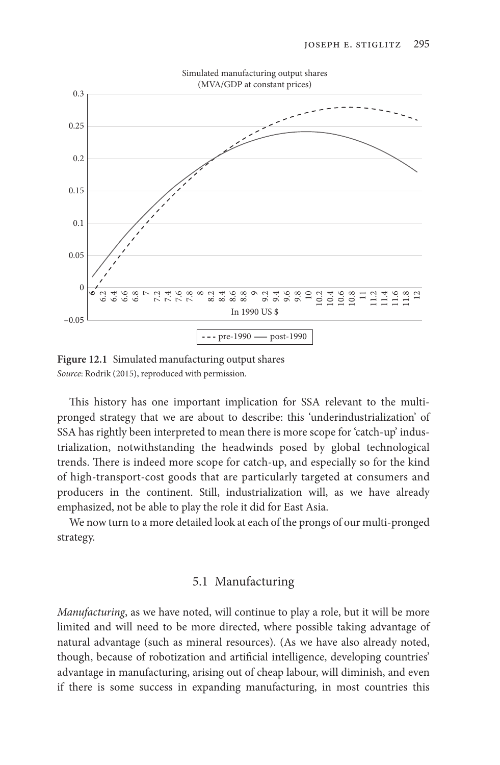

**Figure 12.1** Simulated manufacturing output shares *Source*: Rodrik (2015), reproduced with permission.

This history has one important implication for SSA relevant to the multipronged strategy that we are about to describe: this 'underindustrialization' of SSA has rightly been interpreted to mean there is more scope for 'catch-up' industrialization, notwithstanding the headwinds posed by global technological trends. There is indeed more scope for catch-up, and especially so for the kind of high-transport-cost goods that are particularly targeted at consumers and producers in the continent. Still, industrialization will, as we have already emphasized, not be able to play the role it did for East Asia.

We now turn to a more detailed look at each of the prongs of our multi-pronged strategy.

## 5.1 Manufacturing

*Manufacturing*, as we have noted, will continue to play a role, but it will be more limited and will need to be more directed, where possible taking advantage of natural advantage (such as mineral resources). (As we have also already noted, though, because of robotization and artificial intelligence, developing countries' advantage in manufacturing, arising out of cheap labour, will diminish, and even if there is some success in expanding manufacturing, in most countries this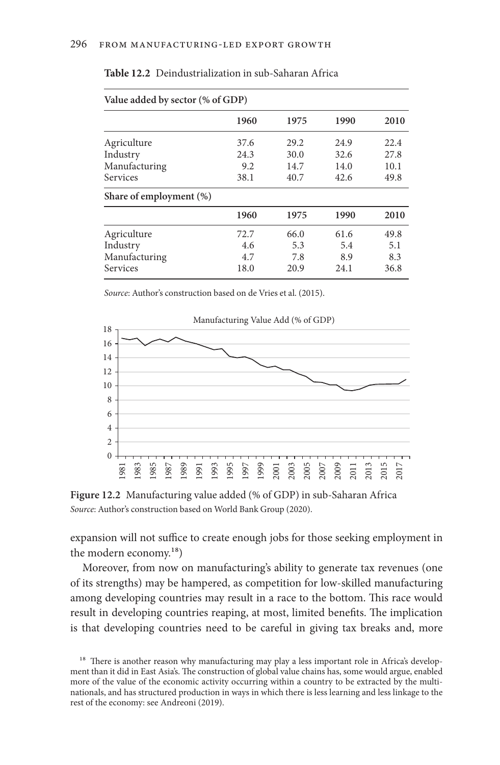| Value added by sector (% of GDP) |      |      |      |      |  |  |
|----------------------------------|------|------|------|------|--|--|
|                                  | 1960 | 1975 | 1990 | 2010 |  |  |
| Agriculture                      | 37.6 | 29.2 | 24.9 | 22.4 |  |  |
| Industry                         | 24.3 | 30.0 | 32.6 | 27.8 |  |  |
| Manufacturing                    | 9.2  | 14.7 | 14.0 | 10.1 |  |  |
| Services                         | 38.1 | 40.7 | 42.6 | 49.8 |  |  |
| Share of employment (%)          |      |      |      |      |  |  |
|                                  | 1960 | 1975 | 1990 | 2010 |  |  |
| Agriculture                      | 72.7 | 66.0 | 61.6 | 49.8 |  |  |
| Industry                         | 4.6  | 5.3  | 5.4  | 5.1  |  |  |
| Manufacturing                    | 4.7  | 7.8  | 8.9  | 8.3  |  |  |
| Services                         | 18.0 | 20.9 | 24.1 | 36.8 |  |  |

**Table 12.2** Deindustrialization in sub-Saharan Africa

*Source*: Author's construction based on de Vries et al. (2015).



**Figure 12.2** Manufacturing value added (% of GDP) in sub-Saharan Africa *Source*: Author's construction based on World Bank Group (2020).

expansion will not suffice to create enough jobs for those seeking employment in the modern economy.18)

Moreover, from now on manufacturing's ability to generate tax revenues (one of its strengths) may be hampered, as competition for low-skilled manufacturing among developing countries may result in a race to the bottom. This race would result in developing countries reaping, at most, limited benefits. The implication is that developing countries need to be careful in giving tax breaks and, more

<sup>&</sup>lt;sup>18</sup> There is another reason why manufacturing may play a less important role in Africa's development than it did in East Asia's. The construction of global value chains has, some would argue, enabled more of the value of the economic activity occurring within a country to be extracted by the multinationals, and has structured production in ways in which there is less learning and less linkage to the rest of the economy: see Andreoni (2019).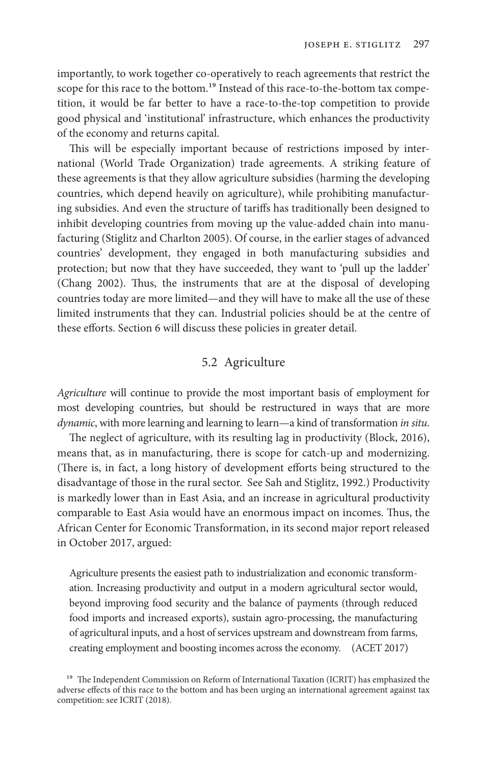importantly, to work together co-operatively to reach agreements that restrict the scope for this race to the bottom.<sup>19</sup> Instead of this race-to-the-bottom tax competition, it would be far better to have a race-to-the-top competition to provide good physical and 'institutional' infrastructure, which enhances the productivity of the economy and returns capital.

This will be especially important because of restrictions imposed by international (World Trade Organization) trade agreements. A striking feature of these agreements is that they allow agriculture subsidies (harming the developing countries, which depend heavily on agriculture), while prohibiting manufacturing subsidies. And even the structure of tariffs has traditionally been designed to inhibit developing countries from moving up the value-added chain into manufacturing (Stiglitz and Charlton 2005). Of course, in the earlier stages of advanced countries' development, they engaged in both manufacturing subsidies and protection; but now that they have succeeded, they want to 'pull up the ladder' (Chang 2002). Thus, the instruments that are at the disposal of developing countries today are more limited—and they will have to make all the use of these limited instruments that they can. Industrial policies should be at the centre of these efforts. Section 6 will discuss these policies in greater detail.

# 5.2 Agriculture

*Agriculture* will continue to provide the most important basis of employment for most developing countries, but should be restructured in ways that are more *dynamic*, with more learning and learning to learn—a kind of transformation *in situ*.

The neglect of agriculture, with its resulting lag in productivity (Block, 2016), means that, as in manufacturing, there is scope for catch-up and modernizing. (There is, in fact, a long history of development efforts being structured to the disadvantage of those in the rural sector. See Sah and Stiglitz, 1992.) Productivity is markedly lower than in East Asia, and an increase in agricultural productivity comparable to East Asia would have an enormous impact on incomes. Thus, the African Center for Economic Transformation, in its second major report released in October 2017, argued:

Agriculture presents the easiest path to industrialization and economic transformation. Increasing productivity and output in a modern agricultural sector would, beyond improving food security and the balance of payments (through reduced food imports and increased exports), sustain agro-processing, the manufacturing of agricultural inputs, and a host of services upstream and downstream from farms, creating employment and boosting incomes across the economy. (ACET 2017)

<sup>&</sup>lt;sup>19</sup> The Independent Commission on Reform of International Taxation (ICRIT) has emphasized the adverse effects of this race to the bottom and has been urging an international agreement against tax competition: see ICRIT (2018).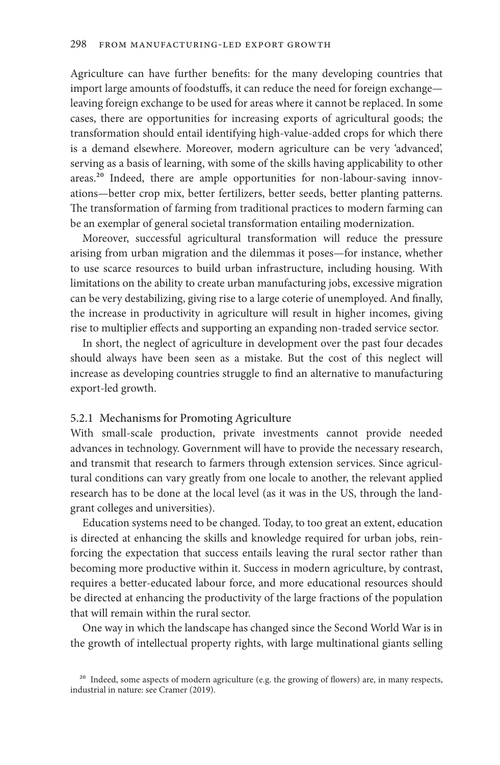Agriculture can have further benefits: for the many developing countries that import large amounts of foodstuffs, it can reduce the need for foreign exchange leaving foreign exchange to be used for areas where it cannot be replaced. In some cases, there are opportunities for increasing exports of agricultural goods; the transformation should entail identifying high-value-added crops for which there is a demand elsewhere. Moreover, modern agriculture can be very 'advanced', serving as a basis of learning, with some of the skills having applicability to other areas.20 Indeed, there are ample opportunities for non-labour-saving innovations—better crop mix, better fertilizers, better seeds, better planting patterns. The transformation of farming from traditional practices to modern farming can be an exemplar of general societal transformation entailing modernization.

Moreover, successful agricultural transformation will reduce the pressure arising from urban migration and the dilemmas it poses—for instance, whether to use scarce resources to build urban infrastructure, including housing. With limitations on the ability to create urban manufacturing jobs, excessive migration can be very destabilizing, giving rise to a large coterie of unemployed. And finally, the increase in productivity in agriculture will result in higher incomes, giving rise to multiplier effects and supporting an expanding non-traded service sector.

In short, the neglect of agriculture in development over the past four decades should always have been seen as a mistake. But the cost of this neglect will increase as developing countries struggle to find an alternative to manufacturing export-led growth.

#### 5.2.1 Mechanisms for Promoting Agriculture

With small-scale production, private investments cannot provide needed advances in technology. Government will have to provide the necessary research, and transmit that research to farmers through extension services. Since agricultural conditions can vary greatly from one locale to another, the relevant applied research has to be done at the local level (as it was in the US, through the landgrant colleges and universities).

Education systems need to be changed. Today, to too great an extent, education is directed at enhancing the skills and knowledge required for urban jobs, reinforcing the expectation that success entails leaving the rural sector rather than becoming more productive within it. Success in modern agriculture, by contrast, requires a better-educated labour force, and more educational resources should be directed at enhancing the productivity of the large fractions of the population that will remain within the rural sector.

One way in which the landscape has changed since the Second World War is in the growth of intellectual property rights, with large multinational giants selling

<sup>&</sup>lt;sup>20</sup> Indeed, some aspects of modern agriculture (e.g. the growing of flowers) are, in many respects, industrial in nature: see Cramer (2019).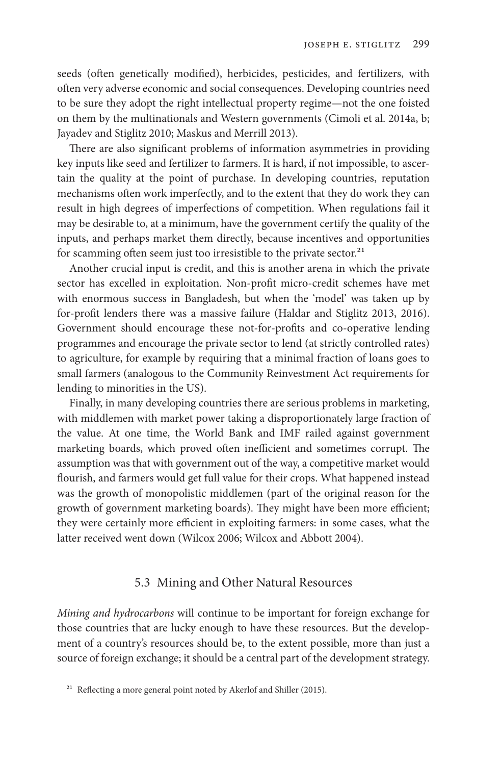seeds (often genetically modified), herbicides, pesticides, and fertilizers, with often very adverse economic and social consequences. Developing countries need to be sure they adopt the right intellectual property regime—not the one foisted on them by the multinationals and Western governments (Cimoli et al. 2014a, b; Jayadev and Stiglitz 2010; Maskus and Merrill 2013).

There are also significant problems of information asymmetries in providing key inputs like seed and fertilizer to farmers. It is hard, if not impossible, to ascertain the quality at the point of purchase. In developing countries, reputation mechanisms often work imperfectly, and to the extent that they do work they can result in high degrees of imperfections of competition. When regulations fail it may be desirable to, at a minimum, have the government certify the quality of the inputs, and perhaps market them directly, because incentives and opportunities for scamming often seem just too irresistible to the private sector. $21$ 

Another crucial input is credit, and this is another arena in which the private sector has excelled in exploitation. Non-profit micro-credit schemes have met with enormous success in Bangladesh, but when the 'model' was taken up by for-profit lenders there was a massive failure (Haldar and Stiglitz 2013, 2016). Government should encourage these not-for-profits and co-operative lending programmes and encourage the private sector to lend (at strictly controlled rates) to agriculture, for example by requiring that a minimal fraction of loans goes to small farmers (analogous to the Community Reinvestment Act requirements for lending to minorities in the US).

Finally, in many developing countries there are serious problems in marketing, with middlemen with market power taking a disproportionately large fraction of the value. At one time, the World Bank and IMF railed against government marketing boards, which proved often inefficient and sometimes corrupt. The assumption was that with government out of the way, a competitive market would flourish, and farmers would get full value for their crops. What happened instead was the growth of monopolistic middlemen (part of the original reason for the growth of government marketing boards). They might have been more efficient; they were certainly more efficient in exploiting farmers: in some cases, what the latter received went down (Wilcox 2006; Wilcox and Abbott 2004).

## 5.3 Mining and Other Natural Resources

*Mining and hydrocarbons* will continue to be important for foreign exchange for those countries that are lucky enough to have these resources. But the development of a country's resources should be, to the extent possible, more than just a source of foreign exchange; it should be a central part of the development strategy.

<sup>&</sup>lt;sup>21</sup> Reflecting a more general point noted by Akerlof and Shiller (2015).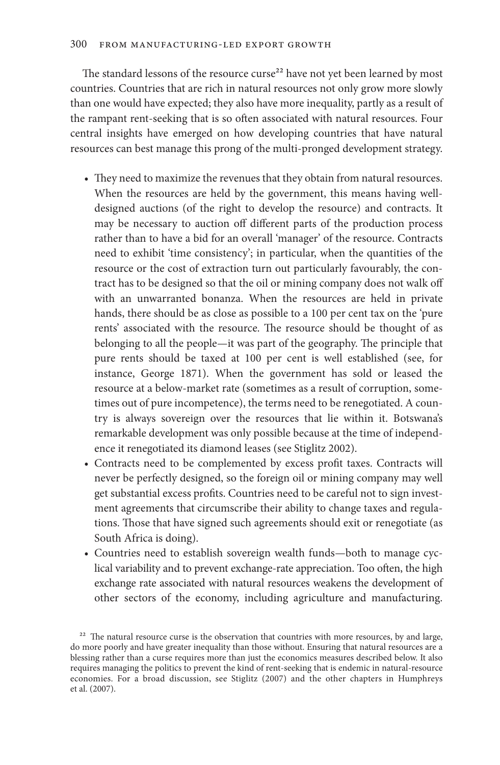The standard lessons of the resource curse<sup>22</sup> have not yet been learned by most countries. Countries that are rich in natural resources not only grow more slowly than one would have expected; they also have more inequality, partly as a result of the rampant rent-seeking that is so often associated with natural resources. Four central insights have emerged on how developing countries that have natural resources can best manage this prong of the multi-pronged development strategy.

- They need to maximize the revenues that they obtain from natural resources. When the resources are held by the government, this means having welldesigned auctions (of the right to develop the resource) and contracts. It may be necessary to auction off different parts of the production process rather than to have a bid for an overall 'manager' of the resource. Contracts need to exhibit 'time consistency'; in particular, when the quantities of the resource or the cost of extraction turn out particularly favourably, the contract has to be designed so that the oil or mining company does not walk off with an unwarranted bonanza. When the resources are held in private hands, there should be as close as possible to a 100 per cent tax on the 'pure rents' associated with the resource. The resource should be thought of as belonging to all the people—it was part of the geography. The principle that pure rents should be taxed at 100 per cent is well established (see, for instance, George 1871). When the government has sold or leased the resource at a below-market rate (sometimes as a result of corruption, sometimes out of pure incompetence), the terms need to be renegotiated. A country is always sovereign over the resources that lie within it. Botswana's remarkable development was only possible because at the time of independence it renegotiated its diamond leases (see Stiglitz 2002).
- Contracts need to be complemented by excess profit taxes. Contracts will never be perfectly designed, so the foreign oil or mining company may well get substantial excess profits. Countries need to be careful not to sign investment agreements that circumscribe their ability to change taxes and regulations. Those that have signed such agreements should exit or renegotiate (as South Africa is doing).
- Countries need to establish sovereign wealth funds—both to manage cyclical variability and to prevent exchange-rate appreciation. Too often, the high exchange rate associated with natural resources weakens the development of other sectors of the economy, including agriculture and manufacturing.

 $22$  The natural resource curse is the observation that countries with more resources, by and large, do more poorly and have greater inequality than those without. Ensuring that natural resources are a blessing rather than a curse requires more than just the economics measures described below. It also requires managing the politics to prevent the kind of rent-seeking that is endemic in natural-resource economies. For a broad discussion, see Stiglitz (2007) and the other chapters in Humphreys et al. (2007).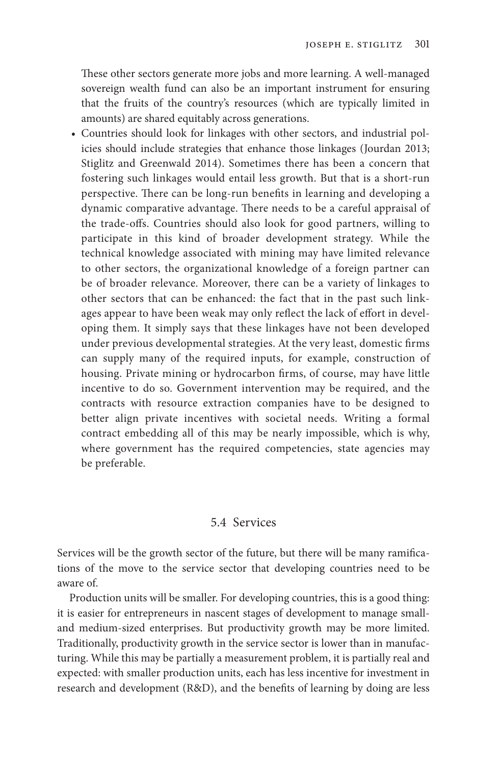These other sectors generate more jobs and more learning. A well-managed sovereign wealth fund can also be an important instrument for ensuring that the fruits of the country's resources (which are typically limited in amounts) are shared equitably across generations.

• Countries should look for linkages with other sectors, and industrial policies should include strategies that enhance those linkages (Jourdan 2013; Stiglitz and Greenwald 2014). Sometimes there has been a concern that fostering such linkages would entail less growth. But that is a short-run perspective. There can be long-run benefits in learning and developing a dynamic comparative advantage. There needs to be a careful appraisal of the trade-offs. Countries should also look for good partners, willing to participate in this kind of broader development strategy. While the technical knowledge associated with mining may have limited relevance to other sectors, the organizational knowledge of a foreign partner can be of broader relevance. Moreover, there can be a variety of linkages to other sectors that can be enhanced: the fact that in the past such linkages appear to have been weak may only reflect the lack of effort in developing them. It simply says that these linkages have not been developed under previous developmental strategies. At the very least, domestic firms can supply many of the required inputs, for example, construction of housing. Private mining or hydrocarbon firms, of course, may have little incentive to do so. Government intervention may be required, and the contracts with resource extraction companies have to be designed to better align private incentives with societal needs. Writing a formal contract embedding all of this may be nearly impossible, which is why, where government has the required competencies, state agencies may be preferable.

## 5.4 Services

Services will be the growth sector of the future, but there will be many ramifications of the move to the service sector that developing countries need to be aware of.

Production units will be smaller. For developing countries, this is a good thing: it is easier for entrepreneurs in nascent stages of development to manage smalland medium-sized enterprises. But productivity growth may be more limited. Traditionally, productivity growth in the service sector is lower than in manufacturing. While this may be partially a measurement problem, it is partially real and expected: with smaller production units, each has less incentive for investment in research and development (R&D), and the benefits of learning by doing are less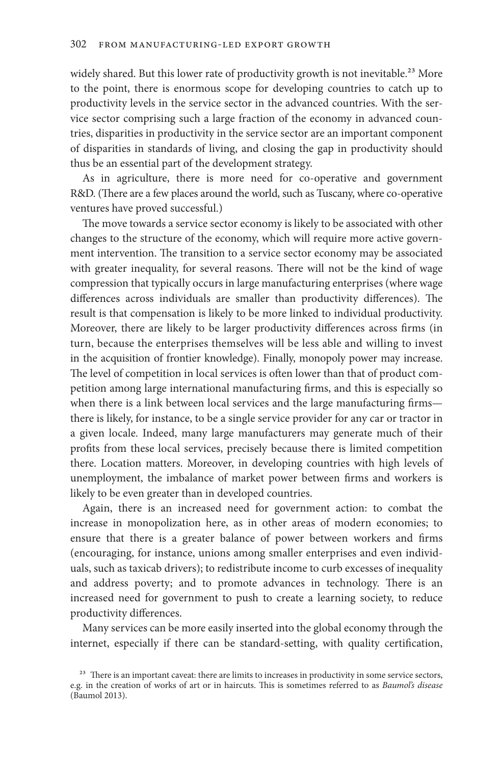widely shared. But this lower rate of productivity growth is not inevitable.<sup>23</sup> More to the point, there is enormous scope for developing countries to catch up to productivity levels in the service sector in the advanced countries. With the service sector comprising such a large fraction of the economy in advanced countries, disparities in productivity in the service sector are an important component of disparities in standards of living, and closing the gap in productivity should thus be an essential part of the development strategy.

As in agriculture, there is more need for co-operative and government R&D. (There are a few places around the world, such as Tuscany, where co-operative ventures have proved successful.)

The move towards a service sector economy is likely to be associated with other changes to the structure of the economy, which will require more active government intervention. The transition to a service sector economy may be associated with greater inequality, for several reasons. There will not be the kind of wage compression that typically occurs in large manufacturing enterprises (where wage differences across individuals are smaller than productivity differences). The result is that compensation is likely to be more linked to individual productivity. Moreover, there are likely to be larger productivity differences across firms (in turn, because the enterprises themselves will be less able and willing to invest in the acquisition of frontier knowledge). Finally, monopoly power may increase. The level of competition in local services is often lower than that of product competition among large international manufacturing firms, and this is especially so when there is a link between local services and the large manufacturing firms there is likely, for instance, to be a single service provider for any car or tractor in a given locale. Indeed, many large manufacturers may generate much of their profits from these local services, precisely because there is limited competition there. Location matters. Moreover, in developing countries with high levels of unemployment, the imbalance of market power between firms and workers is likely to be even greater than in developed countries.

Again, there is an increased need for government action: to combat the increase in monopolization here, as in other areas of modern economies; to ensure that there is a greater balance of power between workers and firms (encouraging, for instance, unions among smaller enterprises and even individuals, such as taxicab drivers); to redistribute income to curb excesses of inequality and address poverty; and to promote advances in technology. There is an increased need for government to push to create a learning society, to reduce productivity differences.

Many services can be more easily inserted into the global economy through the internet, especially if there can be standard-setting, with quality certification,

<sup>&</sup>lt;sup>23</sup> There is an important caveat: there are limits to increases in productivity in some service sectors, e.g. in the creation of works of art or in haircuts. This is sometimes referred to as *Baumol's disease* (Baumol 2013).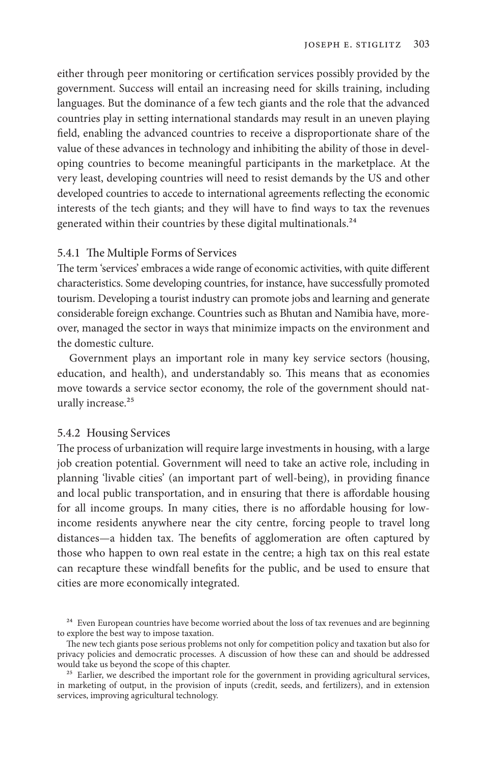either through peer monitoring or certification services possibly provided by the government. Success will entail an increasing need for skills training, including languages. But the dominance of a few tech giants and the role that the advanced countries play in setting international standards may result in an uneven playing field, enabling the advanced countries to receive a disproportionate share of the value of these advances in technology and inhibiting the ability of those in developing countries to become meaningful participants in the marketplace. At the very least, developing countries will need to resist demands by the US and other developed countries to accede to international agreements reflecting the economic interests of the tech giants; and they will have to find ways to tax the revenues generated within their countries by these digital multinationals.<sup>24</sup>

## 5.4.1 The Multiple Forms of Services

The term 'services' embraces a wide range of economic activities, with quite different characteristics. Some developing countries, for instance, have successfully promoted tourism. Developing a tourist industry can promote jobs and learning and generate considerable foreign exchange. Countries such as Bhutan and Namibia have, moreover, managed the sector in ways that minimize impacts on the environment and the domestic culture.

Government plays an important role in many key service sectors (housing, education, and health), and understandably so. This means that as economies move towards a service sector economy, the role of the government should naturally increase.<sup>25</sup>

#### 5.4.2 Housing Services

The process of urbanization will require large investments in housing, with a large job creation potential. Government will need to take an active role, including in planning 'livable cities' (an important part of well-being), in providing finance and local public transportation, and in ensuring that there is affordable housing for all income groups. In many cities, there is no affordable housing for lowincome residents anywhere near the city centre, forcing people to travel long distances—a hidden tax. The benefits of agglomeration are often captured by those who happen to own real estate in the centre; a high tax on this real estate can recapture these windfall benefits for the public, and be used to ensure that cities are more economically integrated.

<sup>&</sup>lt;sup>24</sup> Even European countries have become worried about the loss of tax revenues and are beginning to explore the best way to impose taxation.

The new tech giants pose serious problems not only for competition policy and taxation but also for privacy policies and democratic processes. A discussion of how these can and should be addressed would take us beyond the scope of this chapter.

<sup>&</sup>lt;sup>25</sup> Earlier, we described the important role for the government in providing agricultural services, in marketing of output, in the provision of inputs (credit, seeds, and fertilizers), and in extension services, improving agricultural technology.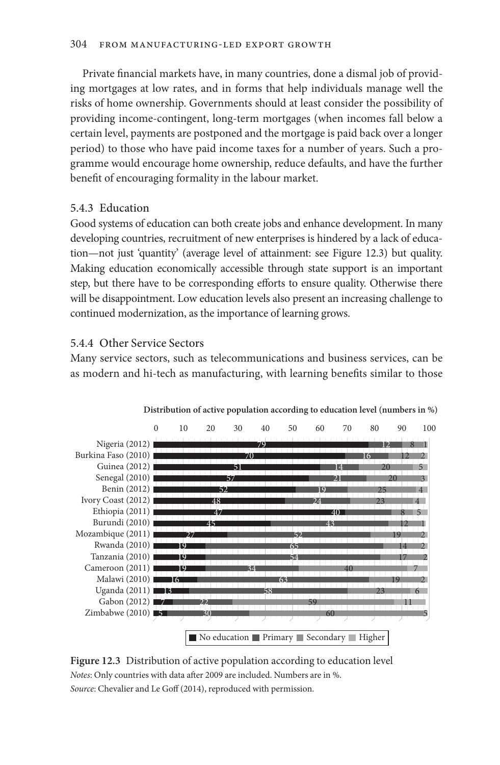Private financial markets have, in many countries, done a dismal job of providing mortgages at low rates, and in forms that help individuals manage well the risks of home ownership. Governments should at least consider the possibility of providing income-contingent, long-term mortgages (when incomes fall below a certain level, payments are postponed and the mortgage is paid back over a longer period) to those who have paid income taxes for a number of years. Such a programme would encourage home ownership, reduce defaults, and have the further benefit of encouraging formality in the labour market.

# 5.4.3 Education

Good systems of education can both create jobs and enhance development. In many developing countries, recruitment of new enterprises is hindered by a lack of education—not just 'quantity' (average level of attainment: see Figure 12.3) but quality. Making education economically accessible through state support is an important step, but there have to be corresponding efforts to ensure quality. Otherwise there will be disappointment. Low education levels also present an increasing challenge to continued modernization, as the importance of learning grows.

# 5.4.4 Other Service Sectors

Many service sectors, such as telecommunications and business services, can be as modern and hi-tech as manufacturing, with learning benefits similar to those



**Distribution of active population according to education level (numbers in %)**

**Figure 12.3** Distribution of active population according to education level *Notes*: Only countries with data after 2009 are included. Numbers are in %. *Source*: Chevalier and Le Goff (2014), reproduced with permission.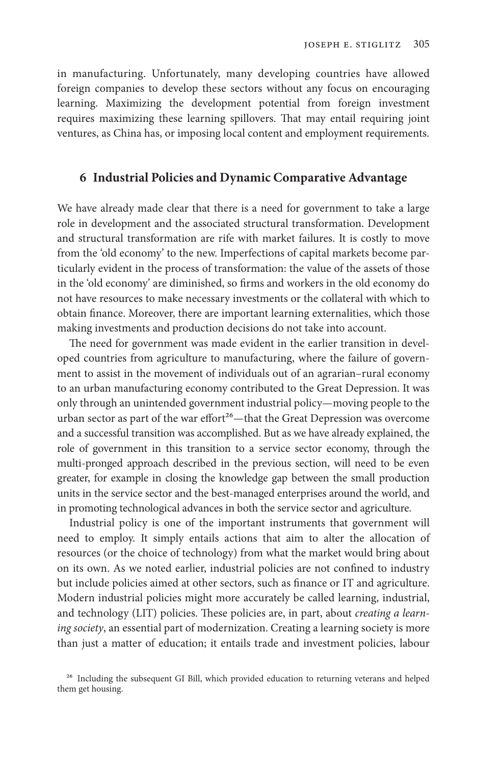in manufacturing. Unfortunately, many developing countries have allowed foreign companies to develop these sectors without any focus on encouraging learning. Maximizing the development potential from foreign investment requires maximizing these learning spillovers. That may entail requiring joint ventures, as China has, or imposing local content and employment requirements.

#### **6 Industrial Policies and Dynamic Comparative Advantage**

We have already made clear that there is a need for government to take a large role in development and the associated structural transformation. Development and structural transformation are rife with market failures. It is costly to move from the 'old economy' to the new. Imperfections of capital markets become particularly evident in the process of transformation: the value of the assets of those in the 'old economy' are diminished, so firms and workers in the old economy do not have resources to make necessary investments or the collateral with which to obtain finance. Moreover, there are important learning externalities, which those making investments and production decisions do not take into account.

The need for government was made evident in the earlier transition in developed countries from agriculture to manufacturing, where the failure of government to assist in the movement of individuals out of an agrarian–rural economy to an urban manufacturing economy contributed to the Great Depression. It was only through an unintended government industrial policy—moving people to the urban sector as part of the war effort<sup>26</sup>—that the Great Depression was overcome and a successful transition was accomplished. But as we have already explained, the role of government in this transition to a service sector economy, through the multi-pronged approach described in the previous section, will need to be even greater, for example in closing the knowledge gap between the small production units in the service sector and the best-managed enterprises around the world, and in promoting technological advances in both the service sector and agriculture.

Industrial policy is one of the important instruments that government will need to employ. It simply entails actions that aim to alter the allocation of resources (or the choice of technology) from what the market would bring about on its own. As we noted earlier, industrial policies are not confined to industry but include policies aimed at other sectors, such as finance or IT and agriculture. Modern industrial policies might more accurately be called learning, industrial, and technology (LIT) policies. These policies are, in part, about *creating a learning society*, an essential part of modernization. Creating a learning society is more than just a matter of education; it entails trade and investment policies, labour

<sup>&</sup>lt;sup>26</sup> Including the subsequent GI Bill, which provided education to returning veterans and helped them get housing.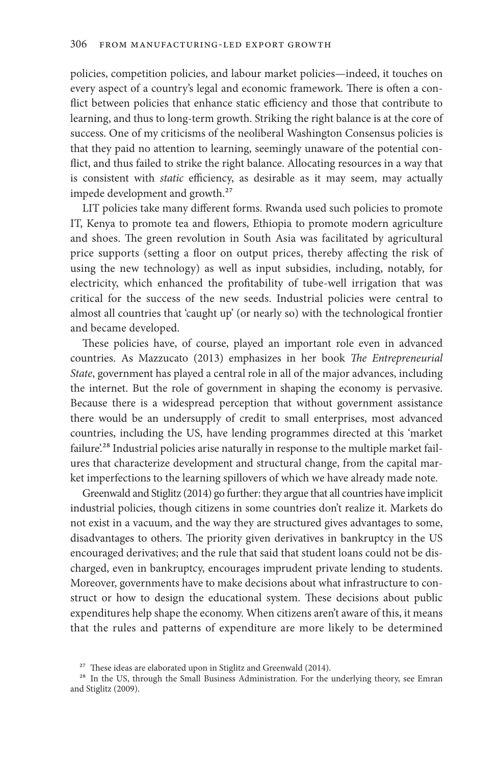policies, competition policies, and labour market policies—indeed, it touches on every aspect of a country's legal and economic framework. There is often a conflict between policies that enhance static efficiency and those that contribute to learning, and thus to long-term growth. Striking the right balance is at the core of success. One of my criticisms of the neoliberal Washington Consensus policies is that they paid no attention to learning, seemingly unaware of the potential conflict, and thus failed to strike the right balance. Allocating resources in a way that is consistent with *static* efficiency, as desirable as it may seem, may actually impede development and growth.<sup>27</sup>

LIT policies take many different forms. Rwanda used such policies to promote IT, Kenya to promote tea and flowers, Ethiopia to promote modern agriculture and shoes. The green revolution in South Asia was facilitated by agricultural price supports (setting a floor on output prices, thereby affecting the risk of using the new technology) as well as input subsidies, including, notably, for electricity, which enhanced the profitability of tube-well irrigation that was critical for the success of the new seeds. Industrial policies were central to almost all countries that 'caught up' (or nearly so) with the technological frontier and became developed.

These policies have, of course, played an important role even in advanced countries. As Mazzucato (2013) emphasizes in her book *The Entrepreneurial State*, government has played a central role in all of the major advances, including the internet. But the role of government in shaping the economy is pervasive. Because there is a widespread perception that without government assistance there would be an undersupply of credit to small enterprises, most advanced countries, including the US, have lending programmes directed at this 'market failure.<sup>28</sup> Industrial policies arise naturally in response to the multiple market failures that characterize development and structural change, from the capital market imperfections to the learning spillovers of which we have already made note.

Greenwald and Stiglitz (2014) go further: they argue that all countries have implicit industrial policies, though citizens in some countries don't realize it. Markets do not exist in a vacuum, and the way they are structured gives advantages to some, disadvantages to others. The priority given derivatives in bankruptcy in the US encouraged derivatives; and the rule that said that student loans could not be discharged, even in bankruptcy, encourages imprudent private lending to students. Moreover, governments have to make decisions about what infrastructure to construct or how to design the educational system. These decisions about public expenditures help shape the economy. When citizens aren't aware of this, it means that the rules and patterns of expenditure are more likely to be determined

<sup>&</sup>lt;sup>27</sup> These ideas are elaborated upon in Stiglitz and Greenwald (2014).

<sup>&</sup>lt;sup>28</sup> In the US, through the Small Business Administration. For the underlying theory, see Emran and Stiglitz (2009).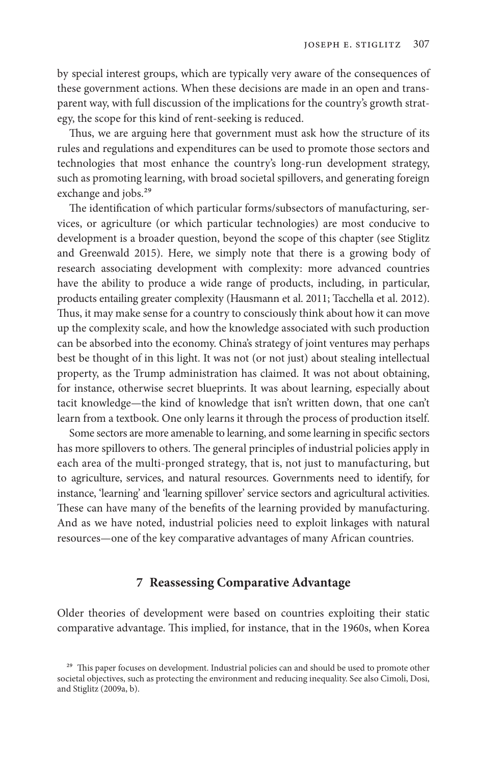by special interest groups, which are typically very aware of the consequences of these government actions. When these decisions are made in an open and transparent way, with full discussion of the implications for the country's growth strategy, the scope for this kind of rent-seeking is reduced.

Thus, we are arguing here that government must ask how the structure of its rules and regulations and expenditures can be used to promote those sectors and technologies that most enhance the country's long-run development strategy, such as promoting learning, with broad societal spillovers, and generating foreign exchange and jobs.<sup>29</sup>

The identification of which particular forms/subsectors of manufacturing, services, or agriculture (or which particular technologies) are most conducive to development is a broader question, beyond the scope of this chapter (see Stiglitz and Greenwald 2015). Here, we simply note that there is a growing body of research associating development with complexity: more advanced countries have the ability to produce a wide range of products, including, in particular, products entailing greater complexity (Hausmann et al. 2011; Tacchella et al. 2012). Thus, it may make sense for a country to consciously think about how it can move up the complexity scale, and how the knowledge associated with such production can be absorbed into the economy. China's strategy of joint ventures may perhaps best be thought of in this light. It was not (or not just) about stealing intellectual property, as the Trump administration has claimed. It was not about obtaining, for instance, otherwise secret blueprints. It was about learning, especially about tacit knowledge—the kind of knowledge that isn't written down, that one can't learn from a textbook. One only learns it through the process of production itself.

Some sectors are more amenable to learning, and some learning in specific sectors has more spillovers to others. The general principles of industrial policies apply in each area of the multi-pronged strategy, that is, not just to manufacturing, but to agriculture, services, and natural resources. Governments need to identify, for instance, 'learning' and 'learning spillover' service sectors and agricultural activities. These can have many of the benefits of the learning provided by manufacturing. And as we have noted, industrial policies need to exploit linkages with natural resources—one of the key comparative advantages of many African countries.

# **7 Reassessing Comparative Advantage**

Older theories of development were based on countries exploiting their static comparative advantage. This implied, for instance, that in the 1960s, when Korea

<sup>&</sup>lt;sup>29</sup> This paper focuses on development. Industrial policies can and should be used to promote other societal objectives, such as protecting the environment and reducing inequality. See also Cimoli, Dosi, and Stiglitz (2009a, b).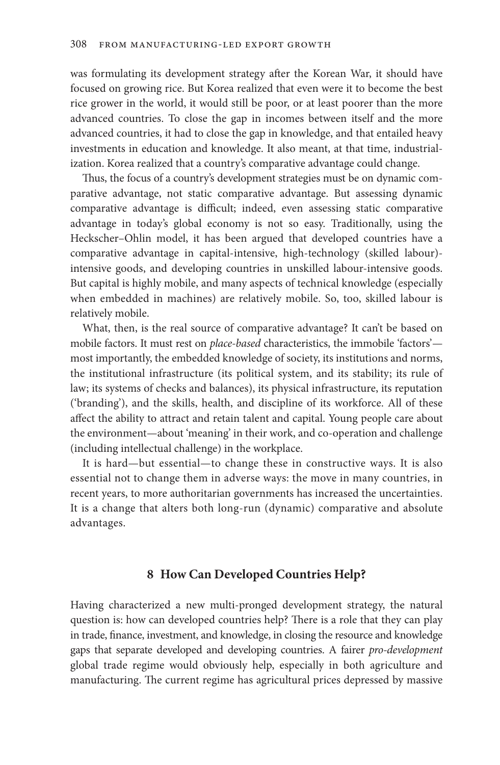was formulating its development strategy after the Korean War, it should have focused on growing rice. But Korea realized that even were it to become the best rice grower in the world, it would still be poor, or at least poorer than the more advanced countries. To close the gap in incomes between itself and the more advanced countries, it had to close the gap in knowledge, and that entailed heavy investments in education and knowledge. It also meant, at that time, industrialization. Korea realized that a country's comparative advantage could change.

Thus, the focus of a country's development strategies must be on dynamic comparative advantage, not static comparative advantage. But assessing dynamic comparative advantage is difficult; indeed, even assessing static comparative advantage in today's global economy is not so easy. Traditionally, using the Heckscher–Ohlin model, it has been argued that developed countries have a comparative advantage in capital-intensive, high-technology (skilled labour) intensive goods, and developing countries in unskilled labour-intensive goods. But capital is highly mobile, and many aspects of technical knowledge (especially when embedded in machines) are relatively mobile. So, too, skilled labour is relatively mobile.

What, then, is the real source of comparative advantage? It can't be based on mobile factors. It must rest on *place-based* characteristics, the immobile 'factors' most importantly, the embedded knowledge of society, its institutions and norms, the institutional infrastructure (its political system, and its stability; its rule of law; its systems of checks and balances), its physical infrastructure, its reputation ('branding'), and the skills, health, and discipline of its workforce. All of these affect the ability to attract and retain talent and capital. Young people care about the environment—about 'meaning' in their work, and co-operation and challenge (including intellectual challenge) in the workplace.

It is hard—but essential—to change these in constructive ways. It is also essential not to change them in adverse ways: the move in many countries, in recent years, to more authoritarian governments has increased the uncertainties. It is a change that alters both long-run (dynamic) comparative and absolute advantages.

## **8 How Can Developed Countries Help?**

Having characterized a new multi-pronged development strategy, the natural question is: how can developed countries help? There is a role that they can play in trade, finance, investment, and knowledge, in closing the resource and knowledge gaps that separate developed and developing countries. A fairer *pro-development* global trade regime would obviously help, especially in both agriculture and manufacturing. The current regime has agricultural prices depressed by massive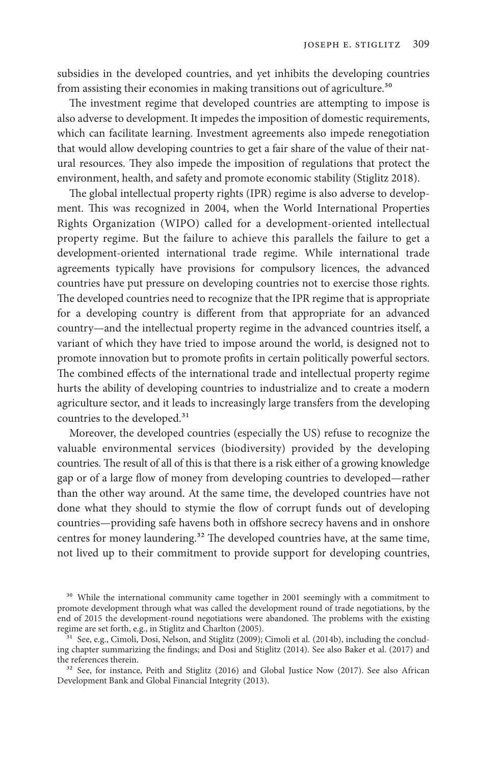subsidies in the developed countries, and yet inhibits the developing countries from assisting their economies in making transitions out of agriculture.<sup>30</sup>

The investment regime that developed countries are attempting to impose is also adverse to development. It impedes the imposition of domestic requirements, which can facilitate learning. Investment agreements also impede renegotiation that would allow developing countries to get a fair share of the value of their natural resources. They also impede the imposition of regulations that protect the environment, health, and safety and promote economic stability (Stiglitz 2018).

The global intellectual property rights (IPR) regime is also adverse to development. This was recognized in 2004, when the World International Properties Rights Organization (WIPO) called for a development-oriented intellectual property regime. But the failure to achieve this parallels the failure to get a development-oriented international trade regime. While international trade agreements typically have provisions for compulsory licences, the advanced countries have put pressure on developing countries not to exercise those rights. The developed countries need to recognize that the IPR regime that is appropriate for a developing country is different from that appropriate for an advanced country—and the intellectual property regime in the advanced countries itself, a variant of which they have tried to impose around the world, is designed not to promote innovation but to promote profits in certain politically powerful sectors. The combined effects of the international trade and intellectual property regime hurts the ability of developing countries to industrialize and to create a modern agriculture sector, and it leads to increasingly large transfers from the developing countries to the developed.<sup>31</sup>

Moreover, the developed countries (especially the US) refuse to recognize the valuable environmental services (biodiversity) provided by the developing countries. The result of all of this is that there is a risk either of a growing knowledge gap or of a large flow of money from developing countries to developed—rather than the other way around. At the same time, the developed countries have not done what they should to stymie the flow of corrupt funds out of developing countries—providing safe havens both in offshore secrecy havens and in onshore centres for money laundering.<sup>32</sup> The developed countries have, at the same time, not lived up to their commitment to provide support for developing countries,

<sup>&</sup>lt;sup>30</sup> While the international community came together in 2001 seemingly with a commitment to promote development through what was called the development round of trade negotiations, by the end of 2015 the development-round negotiations were abandoned. The problems with the existing regime are set forth, e.g., in Stiglitz and Charlton (2005).

<sup>&</sup>lt;sup>31</sup> See, e.g., Cimoli, Dosi, Nelson, and Stiglitz (2009); Cimoli et al. (2014b), including the concluding chapter summarizing the findings; and Dosi and Stiglitz (2014). See also Baker et al. (2017) and the references therein.

<sup>32</sup> See, for instance, Peith and Stiglitz (2016) and Global Justice Now (2017). See also African Development Bank and Global Financial Integrity (2013).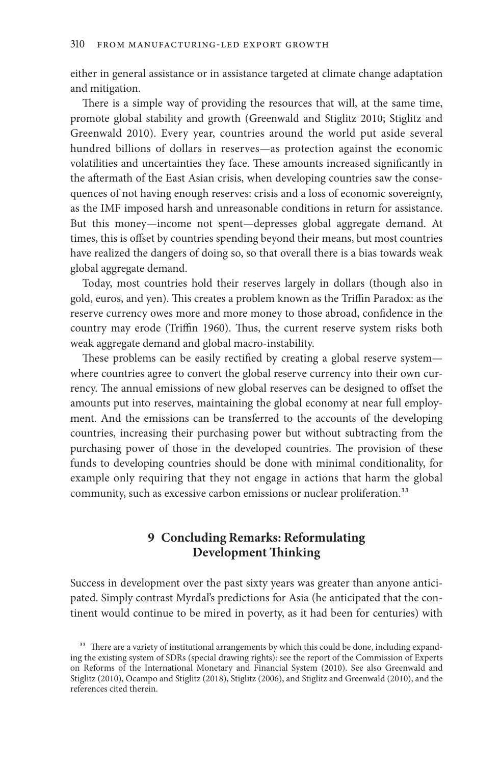either in general assistance or in assistance targeted at climate change adaptation and mitigation.

There is a simple way of providing the resources that will, at the same time, promote global stability and growth (Greenwald and Stiglitz 2010; Stiglitz and Greenwald 2010). Every year, countries around the world put aside several hundred billions of dollars in reserves—as protection against the economic volatilities and uncertainties they face. These amounts increased significantly in the aftermath of the East Asian crisis, when developing countries saw the consequences of not having enough reserves: crisis and a loss of economic sovereignty, as the IMF imposed harsh and unreasonable conditions in return for assistance. But this money—income not spent—depresses global aggregate demand. At times, this is offset by countries spending beyond their means, but most countries have realized the dangers of doing so, so that overall there is a bias towards weak global aggregate demand.

Today, most countries hold their reserves largely in dollars (though also in gold, euros, and yen). This creates a problem known as the Triffin Paradox: as the reserve currency owes more and more money to those abroad, confidence in the country may erode (Triffin 1960). Thus, the current reserve system risks both weak aggregate demand and global macro-instability.

These problems can be easily rectified by creating a global reserve system where countries agree to convert the global reserve currency into their own currency. The annual emissions of new global reserves can be designed to offset the amounts put into reserves, maintaining the global economy at near full employment. And the emissions can be transferred to the accounts of the developing countries, increasing their purchasing power but without subtracting from the purchasing power of those in the developed countries. The provision of these funds to developing countries should be done with minimal conditionality, for example only requiring that they not engage in actions that harm the global community, such as excessive carbon emissions or nuclear proliferation.<sup>33</sup>

# **9 Concluding Remarks: Reformulating Development Thinking**

Success in development over the past sixty years was greater than anyone anticipated. Simply contrast Myrdal's predictions for Asia (he anticipated that the continent would continue to be mired in poverty, as it had been for centuries) with

<sup>&</sup>lt;sup>33</sup> There are a variety of institutional arrangements by which this could be done, including expanding the existing system of SDRs (special drawing rights): see the report of the Commission of Experts on Reforms of the International Monetary and Financial System (2010). See also Greenwald and Stiglitz (2010), Ocampo and Stiglitz (2018), Stiglitz (2006), and Stiglitz and Greenwald (2010), and the references cited therein.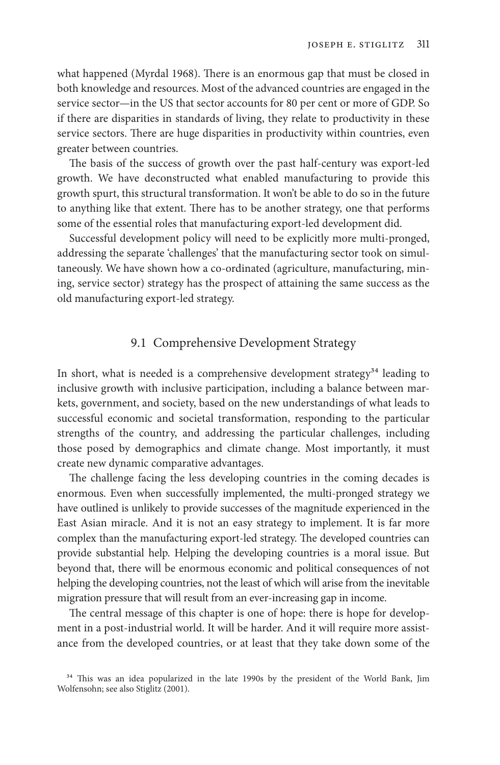what happened (Myrdal 1968). There is an enormous gap that must be closed in both knowledge and resources. Most of the advanced countries are engaged in the service sector—in the US that sector accounts for 80 per cent or more of GDP. So if there are disparities in standards of living, they relate to productivity in these service sectors. There are huge disparities in productivity within countries, even greater between countries.

The basis of the success of growth over the past half-century was export-led growth. We have deconstructed what enabled manufacturing to provide this growth spurt, this structural transformation. It won't be able to do so in the future to anything like that extent. There has to be another strategy, one that performs some of the essential roles that manufacturing export-led development did.

Successful development policy will need to be explicitly more multi-pronged, addressing the separate 'challenges' that the manufacturing sector took on simultaneously. We have shown how a co-ordinated (agriculture, manufacturing, mining, service sector) strategy has the prospect of attaining the same success as the old manufacturing export-led strategy.

# 9.1 Comprehensive Development Strategy

In short, what is needed is a comprehensive development strategy<sup>34</sup> leading to inclusive growth with inclusive participation, including a balance between markets, government, and society, based on the new understandings of what leads to successful economic and societal transformation, responding to the particular strengths of the country, and addressing the particular challenges, including those posed by demographics and climate change. Most importantly, it must create new dynamic comparative advantages.

The challenge facing the less developing countries in the coming decades is enormous. Even when successfully implemented, the multi-pronged strategy we have outlined is unlikely to provide successes of the magnitude experienced in the East Asian miracle. And it is not an easy strategy to implement. It is far more complex than the manufacturing export-led strategy. The developed countries can provide substantial help. Helping the developing countries is a moral issue. But beyond that, there will be enormous economic and political consequences of not helping the developing countries, not the least of which will arise from the inevitable migration pressure that will result from an ever-increasing gap in income.

The central message of this chapter is one of hope: there is hope for development in a post-industrial world. It will be harder. And it will require more assistance from the developed countries, or at least that they take down some of the

<sup>&</sup>lt;sup>34</sup> This was an idea popularized in the late 1990s by the president of the World Bank, Jim Wolfensohn; see also Stiglitz (2001).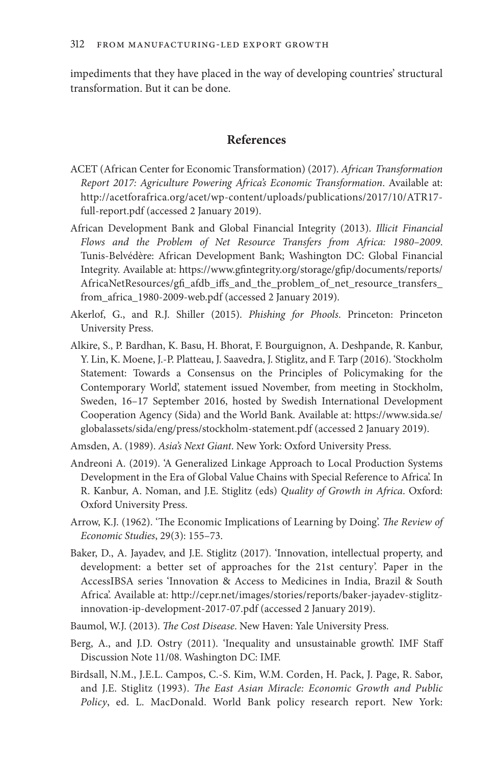impediments that they have placed in the way of developing countries' structural transformation. But it can be done.

## **References**

- ACET (African Center for Economic Transformation) (2017). *African Transformation Report 2017: Agriculture Powering Africa's Economic Transformation*. Available at: http://acetforafrica.org/acet/wp-content/uploads/publications/2017/10/ATR17 full-report.pdf (accessed 2 January 2019).
- African Development Bank and Global Financial Integrity (2013). *Illicit Financial Flows and the Problem of Net Resource Transfers from Africa: 1980–2009*. Tunis-Belvédère: African Development Bank; Washington DC: Global Financial Integrity. Available at: https://www.gfintegrity.org/storage/gfip/documents/reports/ AfricaNetResources/gfi\_afdb\_iffs\_and\_the\_problem\_of\_net\_resource\_transfers\_ from\_africa\_1980-2009-web.pdf (accessed 2 January 2019).
- Akerlof, G., and R.J. Shiller (2015). *Phishing for Phools*. Princeton: Princeton University Press.
- Alkire, S., P. Bardhan, K. Basu, H. Bhorat, F. Bourguignon, A. Deshpande, R. Kanbur, Y. Lin, K. Moene, J.-P. Platteau, J. Saavedra, J. Stiglitz, and F. Tarp (2016). 'Stockholm Statement: Towards a Consensus on the Principles of Policymaking for the Contemporary World', statement issued November, from meeting in Stockholm, Sweden, 16–17 September 2016, hosted by Swedish International Development Cooperation Agency (Sida) and the World Bank. Available at: https://www.sida.se/ globalassets/sida/eng/press/stockholm-statement.pdf (accessed 2 January 2019).
- Amsden, A. (1989). *Asia's Next Giant*. New York: Oxford University Press.
- Andreoni A. (2019). 'A Generalized Linkage Approach to Local Production Systems Development in the Era of Global Value Chains with Special Reference to Africa'. In R. Kanbur, A. Noman, and J.E. Stiglitz (eds) *Quality of Growth in Africa*. Oxford: Oxford University Press.
- Arrow, K.J. (1962). 'The Economic Implications of Learning by Doing'. *The Review of Economic Studies*, 29(3): 155–73.
- Baker, D., A. Jayadev, and J.E. Stiglitz (2017). 'Innovation, intellectual property, and development: a better set of approaches for the 21st century'. Paper in the AccessIBSA series 'Innovation & Access to Medicines in India, Brazil & South Africa'. Available at: http://cepr.net/images/stories/reports/baker-jayadev-stiglitzinnovation-ip-development-2017-07.pdf (accessed 2 January 2019).
- Baumol, W.J. (2013). *The Cost Disease*. New Haven: Yale University Press.
- Berg, A., and J.D. Ostry (2011). 'Inequality and unsustainable growth'. IMF Staff Discussion Note 11/08. Washington DC: IMF.
- Birdsall, N.M., J.E.L. Campos, C.-S. Kim, W.M. Corden, H. Pack, J. Page, R. Sabor, and J.E. Stiglitz (1993). *The East Asian Miracle: Economic Growth and Public Policy*, ed. L. MacDonald. World Bank policy research report. New York: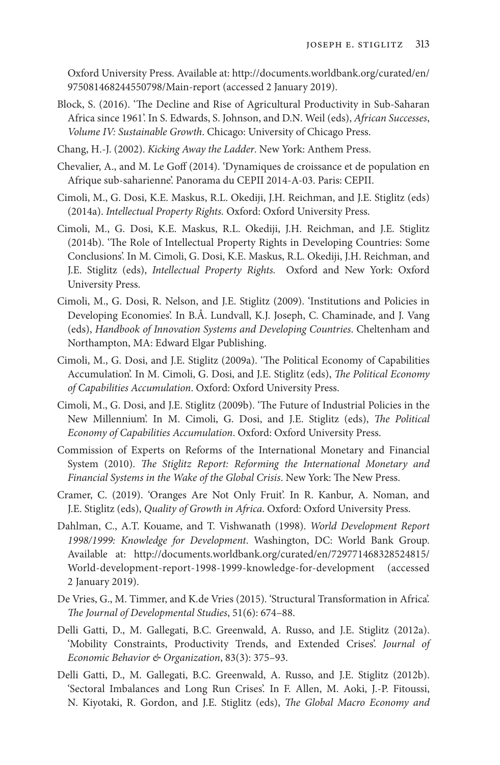Oxford University Press. Available at: http://documents.worldbank.org/curated/en/ 975081468244550798/Main-report (accessed 2 January 2019).

- Block, S. (2016). 'The Decline and Rise of Agricultural Productivity in Sub-Saharan Africa since 1961'. In S. Edwards, S. Johnson, and D.N. Weil (eds), *African Successes*, *Volume IV: Sustainable Growth*. Chicago: University of Chicago Press.
- Chang, H.-J. (2002). *Kicking Away the Ladder*. New York: Anthem Press.
- Chevalier, A., and M. Le Goff (2014). 'Dynamiques de croissance et de population en Afrique sub-saharienne'. Panorama du CEPII 2014-A-03. Paris: CEPII.
- Cimoli, M., G. Dosi, K.E. Maskus, R.L. Okediji, J.H. Reichman, and J.E. Stiglitz (eds) (2014a). *Intellectual Property Rights.* Oxford: Oxford University Press.
- Cimoli, M., G. Dosi, K.E. Maskus, R.L. Okediji, J.H. Reichman, and J.E. Stiglitz (2014b). 'The Role of Intellectual Property Rights in Developing Countries: Some Conclusions'. In M. Cimoli, G. Dosi, K.E. Maskus, R.L. Okediji, J.H. Reichman, and J.E. Stiglitz (eds), *Intellectual Property Rights.* Oxford and New York: Oxford University Press.
- Cimoli, M., G. Dosi, R. Nelson, and J.E. Stiglitz (2009). 'Institutions and Policies in Developing Economies'. In B.Å. Lundvall, K.J. Joseph, C. Chaminade, and J. Vang (eds), *Handbook of Innovation Systems and Developing Countries*. Cheltenham and Northampton, MA: Edward Elgar Publishing.
- Cimoli, M., G. Dosi, and J.E. Stiglitz (2009a). 'The Political Economy of Capabilities Accumulation'. In M. Cimoli, G. Dosi, and J.E. Stiglitz (eds), *The Political Economy of Capabilities Accumulation*. Oxford: Oxford University Press.
- Cimoli, M., G. Dosi, and J.E. Stiglitz (2009b). 'The Future of Industrial Policies in the New Millennium'. In M. Cimoli, G. Dosi, and J.E. Stiglitz (eds), *The Political Economy of Capabilities Accumulation*. Oxford: Oxford University Press.
- Commission of Experts on Reforms of the International Monetary and Financial System (2010). *The Stiglitz Report: Reforming the International Monetary and Financial Systems in the Wake of the Global Crisis*. New York: The New Press.
- Cramer, C. (2019). 'Oranges Are Not Only Fruit'. In R. Kanbur, A. Noman, and J.E. Stiglitz (eds), *Quality of Growth in Africa*. Oxford: Oxford University Press.
- Dahlman, C., A.T. Kouame, and T. Vishwanath (1998). *World Development Report 1998/1999: Knowledge for Development*. Washington, DC: World Bank Group. Available at: http://documents.worldbank.org/curated/en/729771468328524815/ World-development-report-1998-1999-knowledge-for-development (accessed 2 January 2019).
- De Vries, G., M. Timmer, and K.de Vries (2015). 'Structural Transformation in Africa'. *The Journal of Developmental Studies*, 51(6): 674–88.
- Delli Gatti, D., M. Gallegati, B.C. Greenwald, A. Russo, and J.E. Stiglitz (2012a). 'Mobility Constraints, Productivity Trends, and Extended Crises'. *Journal of Economic Behavior & Organization*, 83(3): 375–93.
- Delli Gatti, D., M. Gallegati, B.C. Greenwald, A. Russo, and J.E. Stiglitz (2012b). 'Sectoral Imbalances and Long Run Crises'. In F. Allen, M. Aoki, J.-P. Fitoussi, N. Kiyotaki, R. Gordon, and J.E. Stiglitz (eds), *The Global Macro Economy and*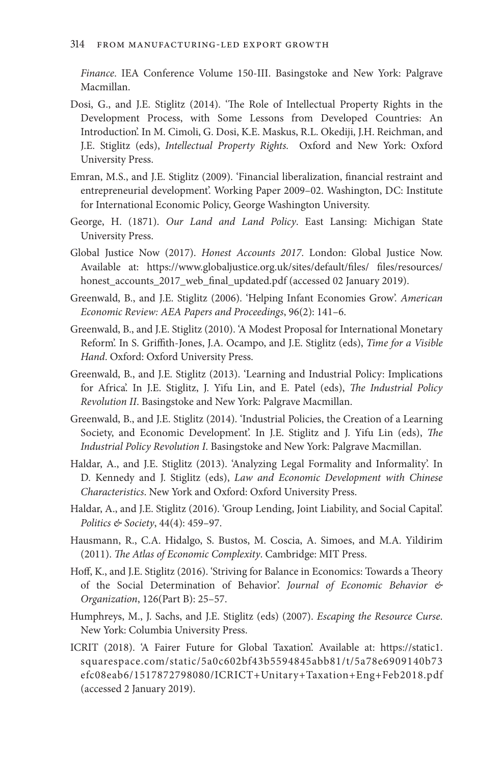*Finance*. IEA Conference Volume 150-III. Basingstoke and New York: Palgrave Macmillan.

- Dosi, G., and J.E. Stiglitz (2014). 'The Role of Intellectual Property Rights in the Development Process, with Some Lessons from Developed Countries: An Introduction'. In M. Cimoli, G. Dosi, K.E. Maskus, R.L. Okediji, J.H. Reichman, and J.E. Stiglitz (eds), *Intellectual Property Rights.* Oxford and New York: Oxford University Press.
- Emran, M.S., and J.E. Stiglitz (2009). 'Financial liberalization, financial restraint and entrepreneurial development'. Working Paper 2009–02. Washington, DC: Institute for International Economic Policy, George Washington University.
- George, H. (1871). *Our Land and Land Policy*. East Lansing: Michigan State University Press.
- Global Justice Now (2017). *Honest Accounts 2017*. London: Global Justice Now. Available at: https://www.globaljustice.org.uk/sites/default/files/ files/resources/ honest\_accounts\_2017\_web\_final\_updated.pdf (accessed 02 January 2019).
- Greenwald, B., and J.E. Stiglitz (2006). 'Helping Infant Economies Grow'. *American Economic Review: AEA Papers and Proceedings*, 96(2): 141–6.
- Greenwald, B., and J.E. Stiglitz (2010). 'A Modest Proposal for International Monetary Reform'. In S. Griffith-Jones, J.A. Ocampo, and J.E. Stiglitz (eds), *Time for a Visible Hand*. Oxford: Oxford University Press.
- Greenwald, B., and J.E. Stiglitz (2013). 'Learning and Industrial Policy: Implications for Africa'. In J.E. Stiglitz, J. Yifu Lin, and E. Patel (eds), *The Industrial Policy Revolution II*. Basingstoke and New York: Palgrave Macmillan.
- Greenwald, B., and J.E. Stiglitz (2014). 'Industrial Policies, the Creation of a Learning Society, and Economic Development'. In J.E. Stiglitz and J. Yifu Lin (eds), *The Industrial Policy Revolution I*. Basingstoke and New York: Palgrave Macmillan.
- Haldar, A., and J.E. Stiglitz (2013). 'Analyzing Legal Formality and Informality'. In D. Kennedy and J. Stiglitz (eds), *Law and Economic Development with Chinese Characteristics*. New York and Oxford: Oxford University Press.
- Haldar, A., and J.E. Stiglitz (2016). 'Group Lending, Joint Liability, and Social Capital'. *Politics & Society*, 44(4): 459–97.
- Hausmann, R., C.A. Hidalgo, S. Bustos, M. Coscia, A. Simoes, and M.A. Yildirim (2011). *The Atlas of Economic Complexity*. Cambridge: MIT Press.
- Hoff, K., and J.E. Stiglitz (2016). 'Striving for Balance in Economics: Towards a Theory of the Social Determination of Behavior'. *Journal of Economic Behavior & Organization*, 126(Part B): 25–57.
- Humphreys, M., J. Sachs, and J.E. Stiglitz (eds) (2007). *Escaping the Resource Curse*. New York: Columbia University Press.
- ICRIT (2018). 'A Fairer Future for Global Taxation'. Available at: https://static1. squarespace.com/static/5a0c602bf43b5594845abb81/t/5a78e6909140b73 efc08eab6/1517872798080/ICRICT+Unitary+Taxation+Eng+Feb2018.pdf (accessed 2 January 2019).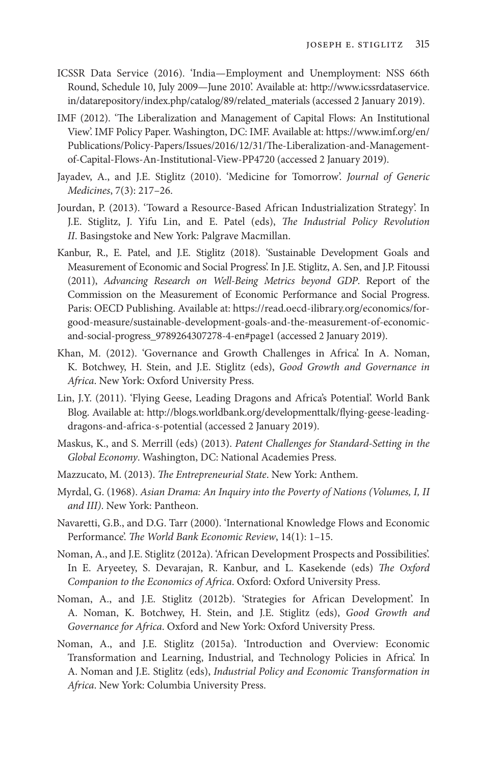- ICSSR Data Service (2016). 'India—Employment and Unemployment: NSS 66th Round, Schedule 10, July 2009—June 2010'. Available at: http://www.icssrdataservice. in/datarepository/index.php/catalog/89/related\_materials (accessed 2 January 2019).
- IMF (2012). 'The Liberalization and Management of Capital Flows: An Institutional View'. IMF Policy Paper. Washington, DC: IMF. Available at: https://www.imf.org/en/ Publications/Policy-Papers/Issues/2016/12/31/The-Liberalization-and-Managementof-Capital-Flows-An-Institutional-View-PP4720 (accessed 2 January 2019).
- Jayadev, A., and J.E. Stiglitz (2010). 'Medicine for Tomorrow'. *Journal of Generic Medicines*, 7(3): 217–26.
- Jourdan, P. (2013). 'Toward a Resource-Based African Industrialization Strategy'. In J.E. Stiglitz, J. Yifu Lin, and E. Patel (eds), *The Industrial Policy Revolution II*. Basingstoke and New York: Palgrave Macmillan.
- Kanbur, R., E. Patel, and J.E. Stiglitz (2018). 'Sustainable Development Goals and Measurement of Economic and Social Progress'. In J.E. Stiglitz, A. Sen, and J.P. Fitoussi (2011), *Advancing Research on Well-Being Metrics beyond GDP*. Report of the Commission on the Measurement of Economic Performance and Social Progress. Paris: OECD Publishing. Available at: https://read.oecd-ilibrary.org/economics/forgood-measure/sustainable-development-goals-and-the-measurement-of-economicand-social-progress\_9789264307278-4-en#page1 (accessed 2 January 2019).
- Khan, M. (2012). 'Governance and Growth Challenges in Africa'. In A. Noman, K. Botchwey, H. Stein, and J.E. Stiglitz (eds), *Good Growth and Governance in Africa*. New York: Oxford University Press.
- Lin, J.Y. (2011). 'Flying Geese, Leading Dragons and Africa's Potential'. World Bank Blog. Available at: http://blogs.worldbank.org/developmenttalk/flying-geese-leadingdragons-and-africa-s-potential (accessed 2 January 2019).
- Maskus, K., and S. Merrill (eds) (2013). *Patent Challenges for Standard-Setting in the Global Economy*. Washington, DC: National Academies Press.
- Mazzucato, M. (2013). *The Entrepreneurial State*. New York: Anthem.
- Myrdal, G. (1968). *Asian Drama: An Inquiry into the Poverty of Nations (Volumes, I, II and III)*. New York: Pantheon.
- Navaretti, G.B., and D.G. Tarr (2000). 'International Knowledge Flows and Economic Performance'. *The World Bank Economic Review*, 14(1): 1–15.
- Noman, A., and J.E. Stiglitz (2012a). 'African Development Prospects and Possibilities'. In E. Aryeetey, S. Devarajan, R. Kanbur, and L. Kasekende (eds) *The Oxford Companion to the Economics of Africa*. Oxford: Oxford University Press.
- Noman, A., and J.E. Stiglitz (2012b). 'Strategies for African Development'. In A. Noman, K. Botchwey, H. Stein, and J.E. Stiglitz (eds), *Good Growth and Governance for Africa*. Oxford and New York: Oxford University Press.
- Noman, A., and J.E. Stiglitz (2015a). 'Introduction and Overview: Economic Transformation and Learning, Industrial, and Technology Policies in Africa'. In A. Noman and J.E. Stiglitz (eds), *Industrial Policy and Economic Transformation in Africa*. New York: Columbia University Press.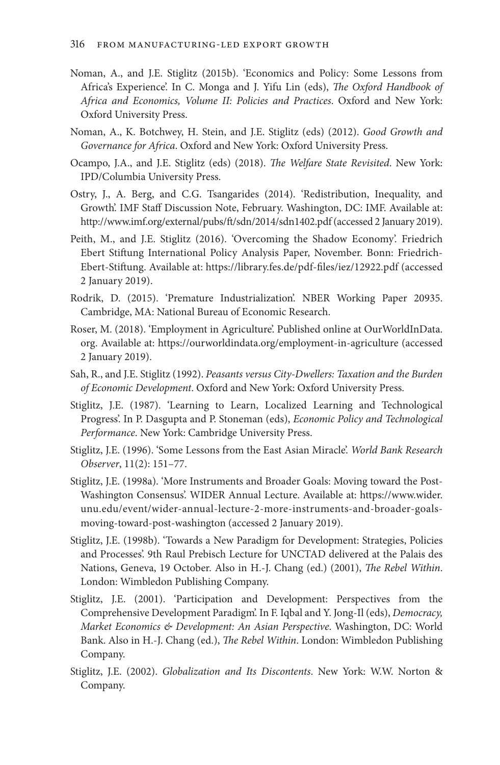- Noman, A., and J.E. Stiglitz (2015b). 'Economics and Policy: Some Lessons from Africa's Experience'. In C. Monga and J. Yifu Lin (eds), *The Oxford Handbook of Africa and Economics, Volume II: Policies and Practices*. Oxford and New York: Oxford University Press.
- Noman, A., K. Botchwey, H. Stein, and J.E. Stiglitz (eds) (2012). *Good Growth and Governance for Africa*. Oxford and New York: Oxford University Press.
- Ocampo, J.A., and J.E. Stiglitz (eds) (2018). *The Welfare State Revisited*. New York: IPD/Columbia University Press.
- Ostry, J., A. Berg, and C.G. Tsangarides (2014). 'Redistribution, Inequality, and Growth'. IMF Staff Discussion Note, February. Washington, DC: IMF. Available at: http://www.imf.org/external/pubs/ft/sdn/2014/sdn1402.pdf (accessed 2 January 2019).
- Peith, M., and J.E. Stiglitz (2016). 'Overcoming the Shadow Economy'. Friedrich Ebert Stiftung International Policy Analysis Paper, November. Bonn: Friedrich-Ebert-Stiftung. Available at: https://library.fes.de/pdf-files/iez/12922.pdf (accessed 2 January 2019).
- Rodrik, D. (2015). 'Premature Industrialization'. NBER Working Paper 20935. Cambridge, MA: National Bureau of Economic Research.
- Roser, M. (2018). 'Employment in Agriculture'. Published online at OurWorldInData. org. Available at: https://ourworldindata.org/employment-in-agriculture (accessed 2 January 2019).
- Sah, R., and J.E. Stiglitz (1992). *Peasants versus City-Dwellers: Taxation and the Burden of Economic Development*. Oxford and New York: Oxford University Press.
- Stiglitz, J.E. (1987). 'Learning to Learn, Localized Learning and Technological Progress'. In P. Dasgupta and P. Stoneman (eds), *Economic Policy and Technological Performance*. New York: Cambridge University Press.
- Stiglitz, J.E. (1996). 'Some Lessons from the East Asian Miracle'. *World Bank Research Observer*, 11(2): 151–77.
- Stiglitz, J.E. (1998a). 'More Instruments and Broader Goals: Moving toward the Post-Washington Consensus'. WIDER Annual Lecture. Available at: https://www.wider. unu.edu/event/wider-annual-lecture-2-more-instruments-and-broader-goalsmoving-toward-post-washington (accessed 2 January 2019).
- Stiglitz, J.E. (1998b). 'Towards a New Paradigm for Development: Strategies, Policies and Processes'. 9th Raul Prebisch Lecture for UNCTAD delivered at the Palais des Nations, Geneva, 19 October. Also in H.-J. Chang (ed.) (2001), *The Rebel Within*. London: Wimbledon Publishing Company.
- Stiglitz, J.E. (2001). 'Participation and Development: Perspectives from the Comprehensive Development Paradigm'. In F. Iqbal and Y. Jong-Il (eds), *Democracy, Market Economics & Development: An Asian Perspective*. Washington, DC: World Bank. Also in H.-J. Chang (ed.), *The Rebel Within*. London: Wimbledon Publishing Company.
- Stiglitz, J.E. (2002). *Globalization and Its Discontents*. New York: W.W. Norton & Company.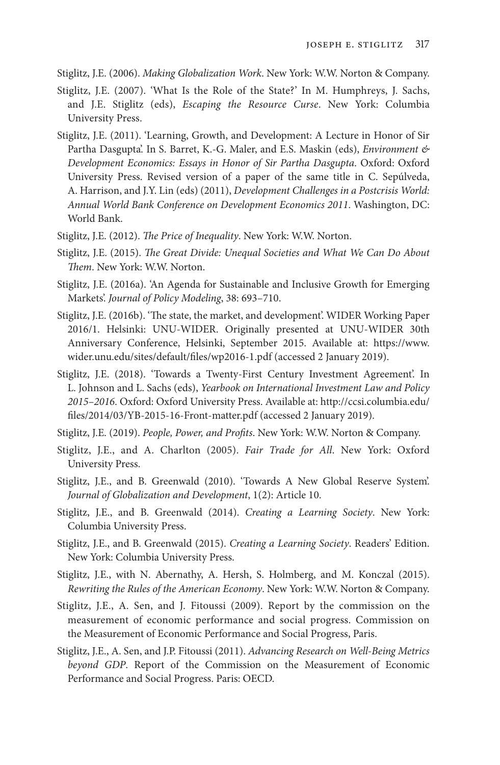Stiglitz, J.E. (2006). *Making Globalization Work*. New York: W.W. Norton & Company.

- Stiglitz, J.E. (2007). 'What Is the Role of the State?' In M. Humphreys, J. Sachs, and J.E. Stiglitz (eds), *Escaping the Resource Curse*. New York: Columbia University Press.
- Stiglitz, J.E. (2011). 'Learning, Growth, and Development: A Lecture in Honor of Sir Partha Dasgupta'. In S. Barret, K.-G. Maler, and E.S. Maskin (eds), *Environment & Development Economics: Essays in Honor of Sir Partha Dasgupta*. Oxford: Oxford University Press. Revised version of a paper of the same title in C. Sepúlveda, A. Harrison, and J.Y. Lin (eds) (2011), *Development Challenges in a Postcrisis World: Annual World Bank Conference on Development Economics 2011*. Washington, DC: World Bank.
- Stiglitz, J.E. (2012). *The Price of Inequality*. New York: W.W. Norton.
- Stiglitz, J.E. (2015). *The Great Divide: Unequal Societies and What We Can Do About Them*. New York: W.W. Norton.
- Stiglitz, J.E. (2016a). 'An Agenda for Sustainable and Inclusive Growth for Emerging Markets'. *Journal of Policy Modeling*, 38: 693–710.
- Stiglitz, J.E. (2016b). 'The state, the market, and development'. WIDER Working Paper 2016/1. Helsinki: UNU-WIDER. Originally presented at UNU-WIDER 30th Anniversary Conference, Helsinki, September 2015. Available at: https://www. wider.unu.edu/sites/default/files/wp2016-1.pdf (accessed 2 January 2019).
- Stiglitz, J.E. (2018). 'Towards a Twenty-First Century Investment Agreement'. In L. Johnson and L. Sachs (eds), *Yearbook on International Investment Law and Policy 2015–2016*. Oxford: Oxford University Press. Available at: http://ccsi.columbia.edu/ files/2014/03/YB-2015-16-Front-matter.pdf (accessed 2 January 2019).
- Stiglitz, J.E. (2019). *People, Power, and Profits*. New York: W.W. Norton & Company.
- Stiglitz, J.E., and A. Charlton (2005). *Fair Trade for All*. New York: Oxford University Press.
- Stiglitz, J.E., and B. Greenwald (2010). 'Towards A New Global Reserve System'. *Journal of Globalization and Development*, 1(2): Article 10.
- Stiglitz, J.E., and B. Greenwald (2014). *Creating a Learning Society*. New York: Columbia University Press.
- Stiglitz, J.E., and B. Greenwald (2015). *Creating a Learning Society*. Readers' Edition. New York: Columbia University Press.
- Stiglitz, J.E., with N. Abernathy, A. Hersh, S. Holmberg, and M. Konczal (2015). *Rewriting the Rules of the American Economy*. New York: W.W. Norton & Company.
- Stiglitz, J.E., A. Sen, and J. Fitoussi (2009). Report by the commission on the measurement of economic performance and social progress. Commission on the Measurement of Economic Performance and Social Progress, Paris.
- Stiglitz, J.E., A. Sen, and J.P. Fitoussi (2011). *Advancing Research on Well-Being Metrics beyond GDP*. Report of the Commission on the Measurement of Economic Performance and Social Progress. Paris: OECD.